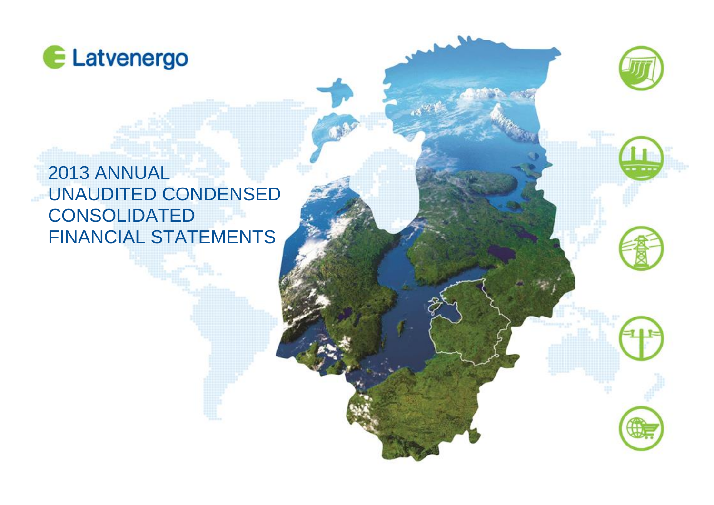









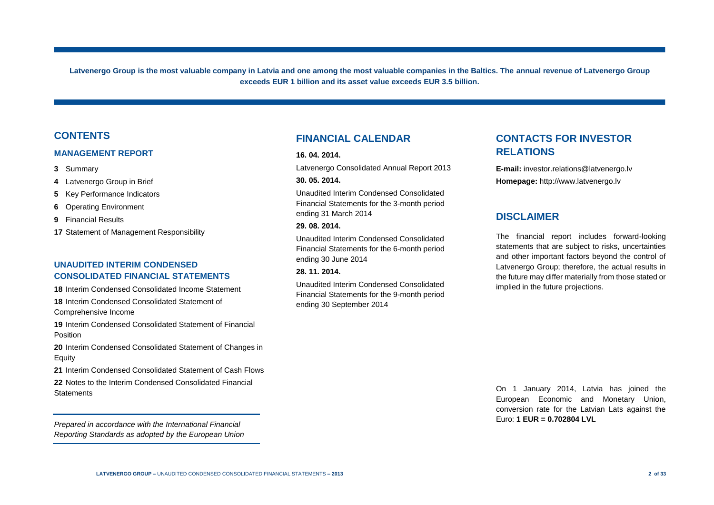**Latvenergo Group is the most valuable company in Latvia and one among the most valuable companies in the Baltics. The annual revenue of Latvenergo Group exceeds EUR 1 billion and its asset value exceeds EUR 3.5 billion.** 

### **CONTENTS**

#### **MANAGEMENT REPORT**

- **3** Summary
- **4** Latvenergo Group in Brief
- **5** Key Performance Indicators
- **6** Operating Environment
- **9** Financial Results
- **17** Statement of Management Responsibility

#### **UNAUDITED INTERIM CONDENSED CONSOLIDATED FINANCIAL STATEMENTS**

**18** Interim Condensed Consolidated Income Statement

**18** Interim Condensed Consolidated Statement of Comprehensive Income

**19** Interim Condensed Consolidated Statement of Financial Position

**20** Interim Condensed Consolidated Statement of Changes in Equity

**21** Interim Condensed Consolidated Statement of Cash Flows

**22** Notes to the Interim Condensed Consolidated Financial **Statements** 

*Prepared in accordance with the International Financial Reporting Standards as adopted by the European Union*

### **FINANCIAL CALENDAR**

#### **16. 04. 2014.**

Latvenergo Consolidated Annual Report 2013 **30. 05. 2014.**

Unaudited Interim Condensed Consolidated Financial Statements for the 3-month period ending 31 March 2014

#### **29. 08. 2014.**

Unaudited Interim Condensed Consolidated Financial Statements for the 6-month period ending 30 June 2014

#### **28. 11. 2014.**

Unaudited Interim Condensed Consolidated Financial Statements for the 9-month period ending 30 September 2014

# **CONTACTS FOR INVESTOR RELATIONS**

**E-mail:** investor.relations@latvenergo.lv **Homepage:** http://www.latvenergo.lv

## **DISCLAIMER**

The financial report includes forward-looking statements that are subject to risks, uncertainties and other important factors beyond the control of Latvenergo Group; therefore, the actual results in the future may differ materially from those stated or implied in the future projections.

On 1 January 2014, Latvia has joined the European Economic and Monetary Union, conversion rate for the Latvian Lats against the Euro: **1 EUR = 0.702804 LVL**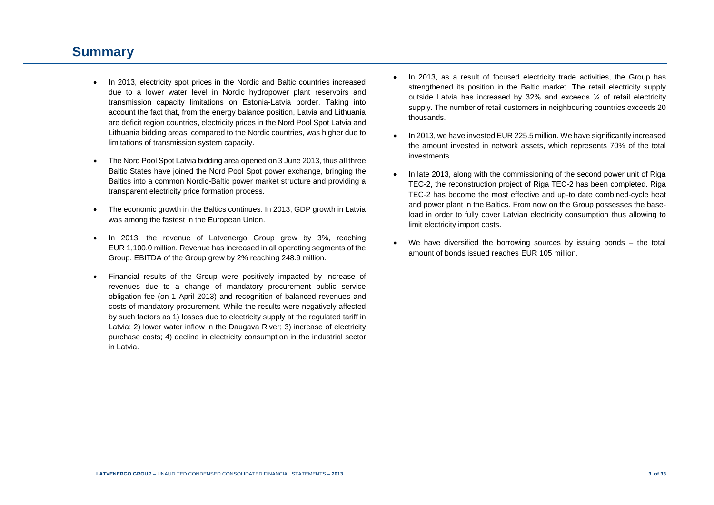# **Summary**

- In 2013, electricity spot prices in the Nordic and Baltic countries increased due to a lower water level in Nordic hydropower plant reservoirs and transmission capacity limitations on Estonia-Latvia border. Taking into account the fact that, from the energy balance position, Latvia and Lithuania are deficit region countries, electricity prices in the Nord Pool Spot Latvia and Lithuania bidding areas, compared to the Nordic countries, was higher due to limitations of transmission system capacity.
- The Nord Pool Spot Latvia bidding area opened on 3 June 2013, thus all three Baltic States have joined the Nord Pool Spot power exchange, bringing the Baltics into a common Nordic-Baltic power market structure and providing a transparent electricity price formation process.
- The economic growth in the Baltics continues. In 2013, GDP growth in Latvia was among the fastest in the European Union.
- In 2013, the revenue of Latvenergo Group grew by 3%, reaching EUR 1,100.0 million. Revenue has increased in all operating segments of the Group. EBITDA of the Group grew by 2% reaching 248.9 million.
- Financial results of the Group were positively impacted by increase of revenues due to a change of mandatory procurement public service obligation fee (on 1 April 2013) and recognition of balanced revenues and costs of mandatory procurement. While the results were negatively affected by such factors as 1) losses due to electricity supply at the regulated tariff in Latvia; 2) lower water inflow in the Daugava River; 3) increase of electricity purchase costs; 4) decline in electricity consumption in the industrial sector in Latvia.
- In 2013, as a result of focused electricity trade activities, the Group has strengthened its position in the Baltic market. The retail electricity supply outside Latvia has increased by 32% and exceeds ¼ of retail electricity supply. The number of retail customers in neighbouring countries exceeds 20 thousands.
- In 2013, we have invested EUR 225.5 million. We have significantly increased the amount invested in network assets, which represents 70% of the total investments.
- In late 2013, along with the commissioning of the second power unit of Riga TEC-2, the reconstruction project of Riga TEC-2 has been completed. Riga TEC-2 has become the most effective and up-to date combined-cycle heat and power plant in the Baltics. From now on the Group possesses the baseload in order to fully cover Latvian electricity consumption thus allowing to limit electricity import costs.
- We have diversified the borrowing sources by issuing bonds the total amount of bonds issued reaches EUR 105 million.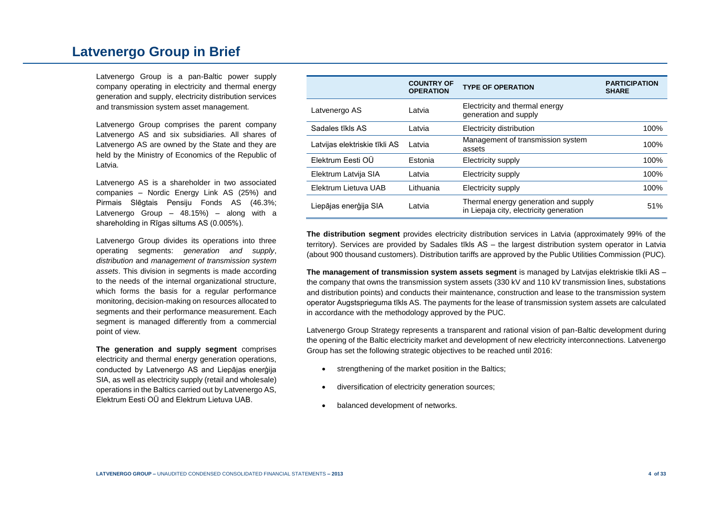# **Latvenergo Group in Brief**

Latvenergo Group is a pan-Baltic power supply company operating in electricity and thermal energy generation and supply, electricity distribution services and transmission system asset management.

Latvenergo Group comprises the parent company Latvenergo AS and six subsidiaries. All shares of Latvenergo AS are owned by the State and they are held by the Ministry of Economics of the Republic of Latvia.

Latvenergo AS is a shareholder in two associated companies – Nordic Energy Link AS (25%) and Pirmais Slēgtais Pensiju Fonds AS (46.3%; Latvenergo Group – 48.15%) – along with a shareholding in Rīgas siltums AS (0.005%).

Latvenergo Group divides its operations into three operating segments: *generation and supply*, *distribution* and *management of transmission system assets*. This division in segments is made according to the needs of the internal organizational structure, which forms the basis for a regular performance monitoring, decision-making on resources allocated to segments and their performance measurement. Each segment is managed differently from a commercial point of view.

**The generation and supply segment** comprises electricity and thermal energy generation operations, conducted by Latvenergo AS and Liepājas enerģija SIA, as well as electricity supply (retail and wholesale) operations in the Baltics carried out by Latvenergo AS, Elektrum Eesti OÜ and Elektrum Lietuva UAB.

|                               | <b>COUNTRY OF</b><br><b>OPERATION</b> | <b>TYPE OF OPERATION</b>                                                        | <b>PARTICIPATION</b><br><b>SHARE</b> |
|-------------------------------|---------------------------------------|---------------------------------------------------------------------------------|--------------------------------------|
| Latvenergo AS                 | Latvia                                | Electricity and thermal energy<br>generation and supply                         |                                      |
| Sadales tīkls AS              | Latvia                                | Electricity distribution                                                        | 100%                                 |
| Latvijas elektriskie tīkli AS | Latvia                                | Management of transmission system<br>assets                                     | 100%                                 |
| Elektrum Eesti OÜ             | Estonia                               | Electricity supply                                                              | 100%                                 |
| Elektrum Latvija SIA          | Latvia                                | Electricity supply                                                              | 100%                                 |
| Elektrum Lietuva UAB          | Lithuania                             | Electricity supply                                                              | 100%                                 |
| Liepājas enerģija SIA         | Latvia                                | Thermal energy generation and supply<br>in Liepaja city, electricity generation | 51%                                  |

**The distribution segment** provides electricity distribution services in Latvia (approximately 99% of the territory). Services are provided by Sadales tīkls AS – the largest distribution system operator in Latvia (about 900 thousand customers). Distribution tariffs are approved by the Public Utilities Commission (PUC).

**The management of transmission system assets segment** is managed by Latvijas elektriskie tīkli AS – the company that owns the transmission system assets (330 kV and 110 kV transmission lines, substations and distribution points) and conducts their maintenance, construction and lease to the transmission system operator Augstsprieguma tīkls AS. The payments for the lease of transmission system assets are calculated in accordance with the methodology approved by the PUC.

Latvenergo Group Strategy represents a transparent and rational vision of pan-Baltic development during the opening of the Baltic electricity market and development of new electricity interconnections. Latvenergo Group has set the following strategic objectives to be reached until 2016:

- strengthening of the market position in the Baltics;
- diversification of electricity generation sources;
- balanced development of networks.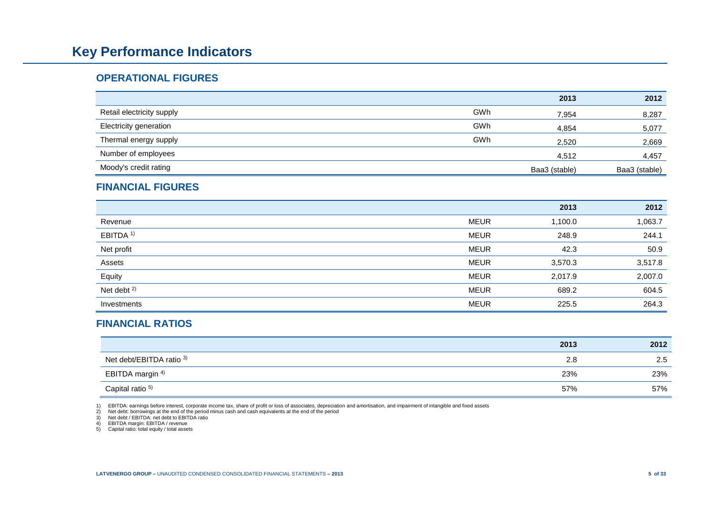# **Key Performance Indicators**

## **OPERATIONAL FIGURES**

|                               |     | 2013          | 2012          |
|-------------------------------|-----|---------------|---------------|
| Retail electricity supply     | GWh | 7,954         | 8,287         |
| <b>Electricity generation</b> | GWh | 4,854         | 5,077         |
| Thermal energy supply         | GWh | 2,520         | 2,669         |
| Number of employees           |     | 4,512         | 4,457         |
| Moody's credit rating         |     | Baa3 (stable) | Baa3 (stable) |

## **FINANCIAL FIGURES**

|                        |             | 2013    | 2012    |
|------------------------|-------------|---------|---------|
| Revenue                | <b>MEUR</b> | 1,100.0 | 1,063.7 |
| EBITDA <sup>1)</sup>   | <b>MEUR</b> | 248.9   | 244.1   |
| Net profit             | <b>MEUR</b> | 42.3    | 50.9    |
| Assets                 | <b>MEUR</b> | 3,570.3 | 3,517.8 |
| Equity                 | <b>MEUR</b> | 2,017.9 | 2,007.0 |
| Net debt <sup>2)</sup> | <b>MEUR</b> | 689.2   | 604.5   |
| Investments            | <b>MEUR</b> | 225.5   | 264.3   |

# **FINANCIAL RATIOS**

|                             | 2013 | 2012 |
|-----------------------------|------|------|
| Net debt/EBITDA ratio 3)    | 2.8  | 2.5  |
| EBITDA margin <sup>4)</sup> | 23%  | 23%  |
| Capital ratio <sup>5)</sup> | 57%  | 57%  |

1) EBITDA: earnings before interest, corporate income tax, share of profit or loss of associates, depreciation and amortisation, and impairment of intangible and fixed assets<br>2) Net debt: borrowings at the end of the perio

Net debt / EBITDA: net debt to EBITDA ratio

4) EBITDA margin: EBITDA / revenue 5) Capital ratio: total equity / total assets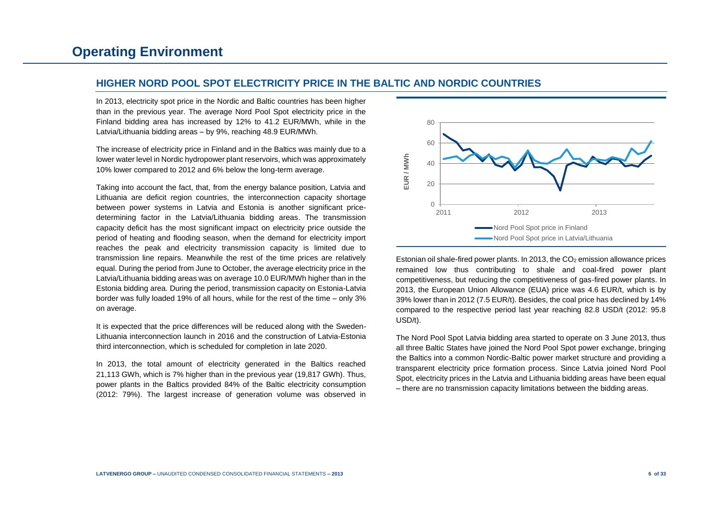### **HIGHER NORD POOL SPOT ELECTRICITY PRICE IN THE BALTIC AND NORDIC COUNTRIES**

In 2013, electricity spot price in the Nordic and Baltic countries has been higher than in the previous year. The average Nord Pool Spot electricity price in the Finland bidding area has increased by 12% to 41.2 EUR/MWh, while in the Latvia/Lithuania bidding areas – by 9%, reaching 48.9 EUR/MWh.

The increase of electricity price in Finland and in the Baltics was mainly due to a lower water level in Nordic hydropower plant reservoirs, which was approximately 10% lower compared to 2012 and 6% below the long-term average.

Taking into account the fact, that, from the energy balance position, Latvia and Lithuania are deficit region countries, the interconnection capacity shortage between power systems in Latvia and Estonia is another significant pricedetermining factor in the Latvia/Lithuania bidding areas. The transmission capacity deficit has the most significant impact on electricity price outside the period of heating and flooding season, when the demand for electricity import reaches the peak and electricity transmission capacity is limited due to transmission line repairs. Meanwhile the rest of the time prices are relatively equal. During the period from June to October, the average electricity price in the Latvia/Lithuania bidding areas was on average 10.0 EUR/MWh higher than in the Estonia bidding area. During the period, transmission capacity on Estonia-Latvia border was fully loaded 19% of all hours, while for the rest of the time – only 3% on average.

It is expected that the price differences will be reduced along with the Sweden-Lithuania interconnection launch in 2016 and the construction of Latvia-Estonia third interconnection, which is scheduled for completion in late 2020.

In 2013, the total amount of electricity generated in the Baltics reached 21,113 GWh, which is 7% higher than in the previous year (19,817 GWh). Thus, power plants in the Baltics provided 84% of the Baltic electricity consumption (2012: 79%). The largest increase of generation volume was observed in



Estonian oil shale-fired power plants. In 2013, the  $CO<sub>2</sub>$  emission allowance prices remained low thus contributing to shale and coal-fired power plant competitiveness, but reducing the competitiveness of gas-fired power plants. In 2013, the European Union Allowance (EUA) price was 4.6 EUR/t, which is by 39% lower than in 2012 (7.5 EUR/t). Besides, the coal price has declined by 14% compared to the respective period last year reaching 82.8 USD/t (2012: 95.8 USD/t).

The Nord Pool Spot Latvia bidding area started to operate on 3 June 2013, thus all three Baltic States have joined the Nord Pool Spot power exchange, bringing the Baltics into a common Nordic-Baltic power market structure and providing a transparent electricity price formation process. Since Latvia joined Nord Pool Spot, electricity prices in the Latvia and Lithuania bidding areas have been equal – there are no transmission capacity limitations between the bidding areas.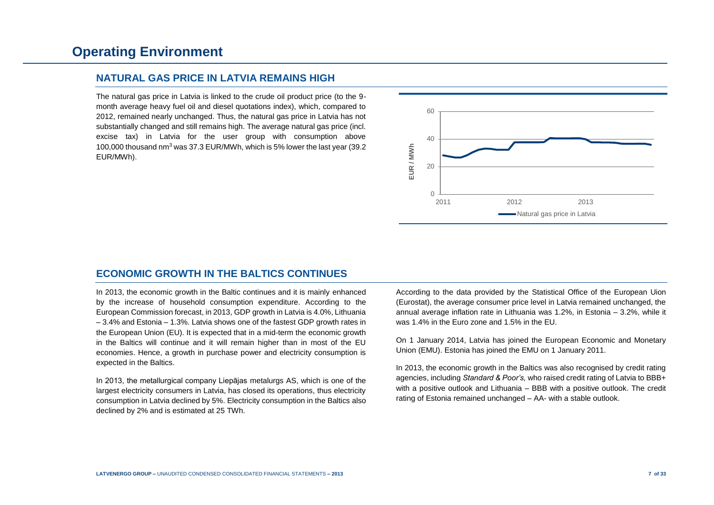### **NATURAL GAS PRICE IN LATVIA REMAINS HIGH**

The natural gas price in Latvia is linked to the crude oil product price (to the 9 month average heavy fuel oil and diesel quotations index), which, compared to 2012, remained nearly unchanged. Thus, the natural gas price in Latvia has not substantially changed and still remains high. The average natural gas price (incl. excise tax) in Latvia for the user group with consumption above 100,000 thousand nm<sup>3</sup> was 37.3 EUR/MWh, which is 5% lower the last year (39.2 EUR/MWh).



# **ECONOMIC GROWTH IN THE BALTICS CONTINUES**

In 2013, the economic growth in the Baltic continues and it is mainly enhanced by the increase of household consumption expenditure. According to the European Commission forecast, in 2013, GDP growth in Latvia is 4.0%, Lithuania – 3.4% and Estonia – 1.3%. Latvia shows one of the fastest GDP growth rates in the European Union (EU). It is expected that in a mid-term the economic growth in the Baltics will continue and it will remain higher than in most of the EU economies. Hence, a growth in purchase power and electricity consumption is expected in the Baltics.

In 2013, the metallurgical company Liepājas metalurgs AS, which is one of the largest electricity consumers in Latvia, has closed its operations, thus electricity consumption in Latvia declined by 5%. Electricity consumption in the Baltics also declined by 2% and is estimated at 25 TWh.

According to the data provided by the Statistical Office of the European Uion (Eurostat), the average consumer price level in Latvia remained unchanged, the annual average inflation rate in Lithuania was 1.2%, in Estonia – 3.2%, while it was 1.4% in the Euro zone and 1.5% in the EU.

On 1 January 2014, Latvia has joined the European Economic and Monetary Union (EMU). Estonia has joined the EMU on 1 January 2011.

In 2013, the economic growth in the Baltics was also recognised by credit rating agencies, including *Standard & Poor's,* who raised credit rating of Latvia to BBB+ with a positive outlook and Lithuania – BBB with a positive outlook. The credit rating of Estonia remained unchanged – AA- with a stable outlook.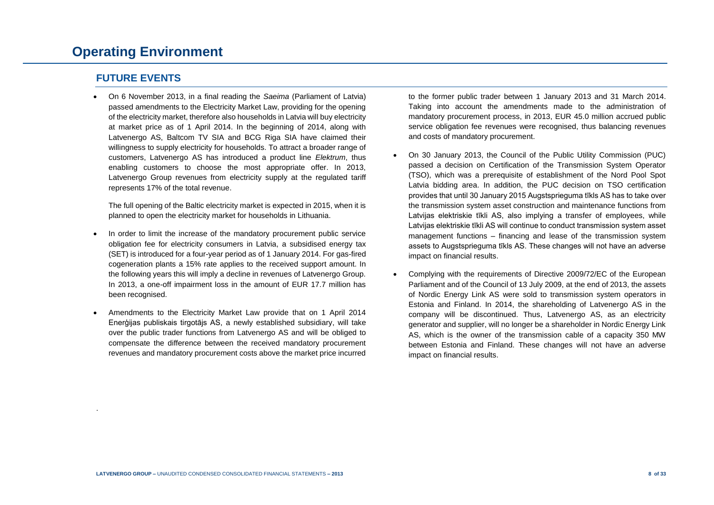# **Operating Environment**

## **FUTURE EVENTS**

.

 On 6 November 2013, in a final reading the *Saeima* (Parliament of Latvia) passed amendments to the Electricity Market Law, providing for the opening of the electricity market, therefore also households in Latvia will buy electricity at market price as of 1 April 2014. In the beginning of 2014, along with Latvenergo AS, Baltcom TV SIA and BCG Riga SIA have claimed their willingness to supply electricity for households. To attract a broader range of customers, Latvenergo AS has introduced a product line *Elektrum*, thus enabling customers to choose the most appropriate offer. In 2013, Latvenergo Group revenues from electricity supply at the regulated tariff represents 17% of the total revenue.

The full opening of the Baltic electricity market is expected in 2015, when it is planned to open the electricity market for households in Lithuania.

- In order to limit the increase of the mandatory procurement public service obligation fee for electricity consumers in Latvia, a subsidised energy tax (SET) is introduced for a four-year period as of 1 January 2014. For gas-fired cogeneration plants a 15% rate applies to the received support amount. In the following years this will imply a decline in revenues of Latvenergo Group. In 2013, a one-off impairment loss in the amount of EUR 17.7 million has been recognised.
- Amendments to the Electricity Market Law provide that on 1 April 2014 Enerģijas publiskais tirgotājs AS, a newly established subsidiary, will take over the public trader functions from Latvenergo AS and will be obliged to compensate the difference between the received mandatory procurement revenues and mandatory procurement costs above the market price incurred

to the former public trader between 1 January 2013 and 31 March 2014. Taking into account the amendments made to the administration of mandatory procurement process, in 2013, EUR 45.0 million accrued public service obligation fee revenues were recognised, thus balancing revenues and costs of mandatory procurement.

- On 30 January 2013, the Council of the Public Utility Commission (PUC) passed a decision on Certification of the Transmission System Operator (TSO), which was a prerequisite of establishment of the Nord Pool Spot Latvia bidding area. In addition, the PUC decision on TSO certification provides that until 30 January 2015 Augstsprieguma tīkls AS has to take over the transmission system asset construction and maintenance functions from Latvijas elektriskie tīkli AS, also implying a transfer of employees, while Latvijas elektriskie tīkli AS will continue to conduct transmission system asset management functions – financing and lease of the transmission system assets to Augstsprieguma tīkls AS. These changes will not have an adverse impact on financial results.
- Complying with the requirements of Directive 2009/72/EC of the European Parliament and of the Council of 13 July 2009, at the end of 2013, the assets of Nordic Energy Link AS were sold to transmission system operators in Estonia and Finland. In 2014, the shareholding of Latvenergo AS in the company will be discontinued. Thus, Latvenergo AS, as an electricity generator and supplier, will no longer be a shareholder in Nordic Energy Link AS, which is the owner of the transmission cable of a capacity 350 MW between Estonia and Finland. These changes will not have an adverse impact on financial results.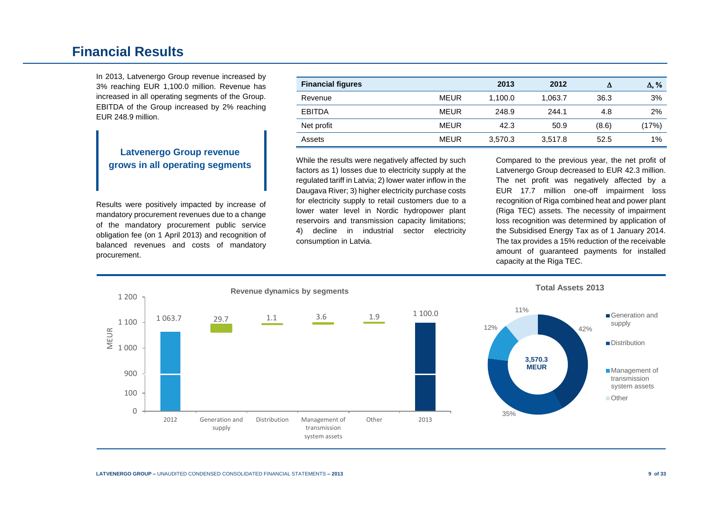# **Financial Results**

In 2013, Latvenergo Group revenue increased by 3% reaching EUR 1,100.0 million. Revenue has increased in all operating segments of the Group. EBITDA of the Group increased by 2% reaching EUR 248.9 million.

## **Latvenergo Group revenue grows in all operating segments**

Results were positively impacted by increase of mandatory procurement revenues due to a change of the mandatory procurement public service obligation fee (on 1 April 2013) and recognition of balanced revenues and costs of mandatory procurement.

| <b>Financial figures</b> |             | 2013    | 2012    | Δ     | $\Delta, \%$ |
|--------------------------|-------------|---------|---------|-------|--------------|
| Revenue                  | <b>MEUR</b> | 1.100.0 | 1.063.7 | 36.3  | 3%           |
| <b>EBITDA</b>            | <b>MEUR</b> | 248.9   | 244.1   | 4.8   | 2%           |
| Net profit               | <b>MEUR</b> | 42.3    | 50.9    | (8.6) | (17%)        |
| Assets                   | <b>MEUR</b> | 3,570.3 | 3,517.8 | 52.5  | $1\%$        |

While the results were negatively affected by such factors as 1) losses due to electricity supply at the regulated tariff in Latvia; 2) lower water inflow in the Daugava River; 3) higher electricity purchase costs for electricity supply to retail customers due to a lower water level in Nordic hydropower plant reservoirs and transmission capacity limitations; 4) decline in industrial sector electricity consumption in Latvia.

Compared to the previous year, the net profit of Latvenergo Group decreased to EUR 42.3 million. The net profit was negatively affected by a EUR 17.7 million one-off impairment loss recognition of Riga combined heat and power plant (Riga TEC) assets. The necessity of impairment loss recognition was determined by application of the Subsidised Energy Tax as of 1 January 2014. The tax provides a 15% reduction of the receivable amount of guaranteed payments for installed capacity at the Riga TEC.

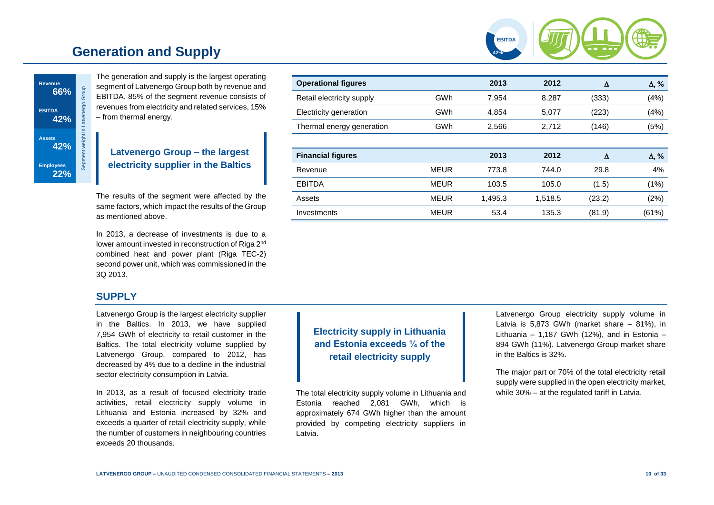# **Generation and Supply**





The generation and supply is the largest operating segment of Latvenergo Group both by revenue and EBITDA. 85% of the segment revenue consists of revenues from electricity and related services, 15% – from thermal energy.

# **Latvenergo Group – the largest electricity supplier in the Baltics**

The results of the segment were affected by the same factors, which impact the results of the Group as mentioned above.

In 2013, a decrease of investments is due to a lower amount invested in reconstruction of Riga 2<sup>nd</sup> combined heat and power plant (Riga TEC-2) second power unit, which was commissioned in the 3Q 2013.

# **SUPPLY**

Latvenergo Group is the largest electricity supplier in the Baltics. In 2013, we have supplied 7,954 GWh of electricity to retail customer in the Baltics. The total electricity volume supplied by Latvenergo Group, compared to 2012, has decreased by 4% due to a decline in the industrial sector electricity consumption in Latvia.

In 2013, as a result of focused electricity trade activities, retail electricity supply volume in Lithuania and Estonia increased by 32% and exceeds a quarter of retail electricity supply, while the number of customers in neighbouring countries exceeds 20 thousands.

| <b>Operational figures</b> |             | 2013    | 2012    | Δ      | $\Delta$ , % |
|----------------------------|-------------|---------|---------|--------|--------------|
| Retail electricity supply  | GWh         | 7,954   | 8,287   | (333)  | (4%)         |
| Electricity generation     | GWh         | 4.854   | 5,077   | (223)  | (4% )        |
| Thermal energy generation  | GWh         | 2,566   | 2,712   | (146)  | (5%)         |
|                            |             |         |         |        |              |
| <b>Financial figures</b>   |             | 2013    | 2012    | Δ      | $\Delta$ , % |
| Revenue                    | <b>MEUR</b> | 773.8   | 744.0   | 29.8   | 4%           |
| <b>EBITDA</b>              | <b>MEUR</b> | 103.5   | 105.0   | (1.5)  | (1%)         |
| Assets                     | <b>MEUR</b> | 1,495.3 | 1,518.5 | (23.2) | (2%)         |
| Investments                | <b>MEUR</b> | 53.4    | 135.3   | (81.9) | (61%)        |
|                            |             |         |         |        |              |

**Electricity supply in Lithuania and Estonia exceeds ¼ of the retail electricity supply**

The total electricity supply volume in Lithuania and Estonia reached 2,081 GWh, which is approximately 674 GWh higher than the amount provided by competing electricity suppliers in Latvia.

Latvenergo Group electricity supply volume in Latvia is 5,873 GWh (market share – 81%), in Lithuania – 1,187 GWh (12%), and in Estonia – 894 GWh (11%). Latvenergo Group market share in the Baltics is 32%.

The major part or 70% of the total electricity retail supply were supplied in the open electricity market, while 30% – at the regulated tariff in Latvia.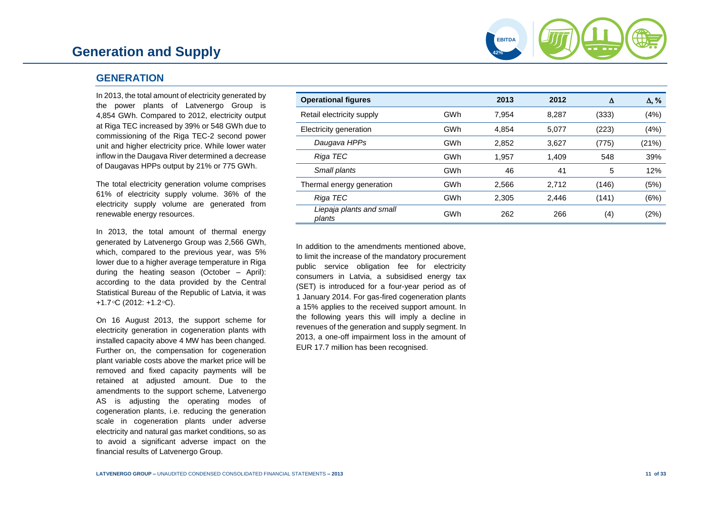# **Generation and Supply**

### **GENERATION**

In 2013, the total amount of electricity generated by the power plants of Latvenergo Group is 4,854 GWh. Compared to 2012, electricity output at Riga TEC increased by 39% or 548 GWh due to commissioning of the Riga TEC-2 second power unit and higher electricity price. While lower water inflow in the Daugava River determined a decrease of Daugavas HPPs output by 21% or 775 GWh.

The total electricity generation volume comprises 61% of electricity supply volume. 36% of the electricity supply volume are generated from renewable energy resources.

In 2013, the total amount of thermal energy generated by Latvenergo Group was 2,566 GWh, which, compared to the previous year, was 5% lower due to a higher average temperature in Riga during the heating season (October – April): according to the data provided by the Central Statistical Bureau of the Republic of Latvia, it was +1.7 $\circ$ C (2012: +1.2 $\circ$ C).

On 16 August 2013, the support scheme for electricity generation in cogeneration plants with installed capacity above 4 MW has been changed. Further on, the compensation for cogeneration plant variable costs above the market price will be removed and fixed capacity payments will be retained at adjusted amount. Due to the amendments to the support scheme, Latvenergo AS is adjusting the operating modes of cogeneration plants, i.e. reducing the generation scale in cogeneration plants under adverse electricity and natural gas market conditions, so as to avoid a significant adverse impact on the financial results of Latvenergo Group.

| <b>Operational figures</b>         |     | 2013  | 2012  | Δ     | $\Delta$ , % |
|------------------------------------|-----|-------|-------|-------|--------------|
| Retail electricity supply          | GWh | 7.954 | 8.287 | (333) | (4%)         |
| Electricity generation             | GWh | 4.854 | 5,077 | (223) | (4%)         |
| Daugava HPPs                       | GWh | 2,852 | 3,627 | (775) | (21%)        |
| Riga TEC                           | GWh | 1,957 | 1.409 | 548   | 39%          |
| Small plants                       | GWh | 46    | 41    | 5     | 12%          |
| Thermal energy generation          | GWh | 2,566 | 2.712 | (146) | (5%)         |
| Riga TEC                           | GWh | 2,305 | 2,446 | (141) | (6%)         |
| Liepaja plants and small<br>plants | GWh | 262   | 266   | (4)   | (2%)         |

**42% EBITDA**

In addition to the amendments mentioned above, to limit the increase of the mandatory procurement public service obligation fee for electricity consumers in Latvia, a subsidised energy tax (SET) is introduced for a four-year period as of 1 January 2014. For gas-fired cogeneration plants a 15% applies to the received support amount. In the following years this will imply a decline in revenues of the generation and supply segment. In 2013, a one-off impairment loss in the amount of EUR 17.7 million has been recognised.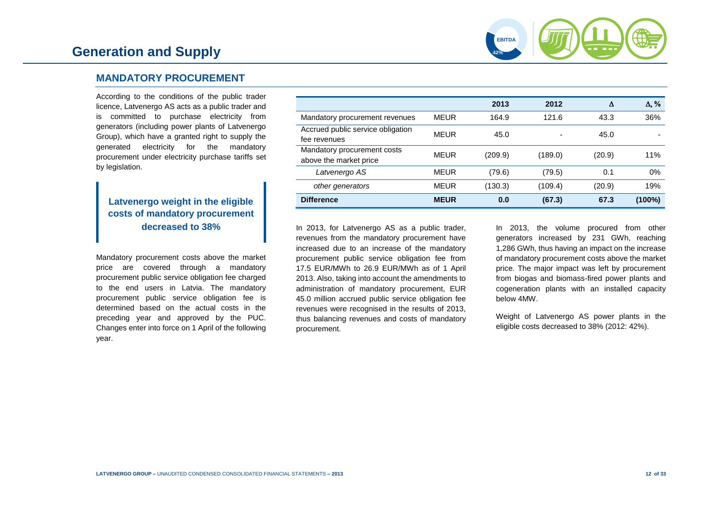

# **MANDATORY PROCUREMENT**

According to the conditions of the public trader licence, Latvenergo AS acts as a public trader and is committed to purchase electricity from generators (including power plants of Latvenergo Group), which have a granted right to supply the generated electricity for the mandatory procurement under electricity purchase tariffs set by legislation.

# **Latvenergo weight in the eligible costs of mandatory procurement decreased to 38%**

Mandatory procurement costs above the market price are covered through a mandatory procurement public service obligation fee charged to the end users in Latvia. The mandatory procurement public service obligation fee is determined based on the actual costs in the preceding year and approved by the PUC. Changes enter into force on 1 April of the following year.

|                                                       |             | 2013    | 2012    | Δ      | $\Delta$ , % |
|-------------------------------------------------------|-------------|---------|---------|--------|--------------|
| Mandatory procurement revenues                        | <b>MEUR</b> | 164.9   | 121.6   | 43.3   | 36%          |
| Accrued public service obligation<br>fee revenues     | <b>MEUR</b> | 45.0    |         | 45.0   |              |
| Mandatory procurement costs<br>above the market price | MEUR        | (209.9) | (189.0) | (20.9) | 11%          |
| Latvenergo AS                                         | <b>MEUR</b> | (79.6)  | (79.5)  | 0.1    | 0%           |
| other generators                                      | <b>MEUR</b> | (130.3) | (109.4) | (20.9) | 19%          |
| <b>Difference</b>                                     | <b>MEUR</b> | 0.0     | (67.3)  | 67.3   | $(100\%)$    |

In 2013, for Latvenergo AS as a public trader, revenues from the mandatory procurement have increased due to an increase of the mandatory procurement public service obligation fee from 17.5 EUR/MWh to 26.9 EUR/MWh as of 1 April 2013. Also, taking into account the amendments to administration of mandatory procurement, EUR 45.0 million accrued public service obligation fee revenues were recognised in the results of 2013, thus balancing revenues and costs of mandatory procurement.

In 2013, the volume procured from other generators increased by 231 GWh, reaching 1,286 GWh, thus having an impact on the increase of mandatory procurement costs above the market price. The major impact was left by procurement from biogas and biomass-fired power plants and cogeneration plants with an installed capacity below 4MW.

Weight of Latvenergo AS power plants in the eligible costs decreased to 38% (2012: 42%).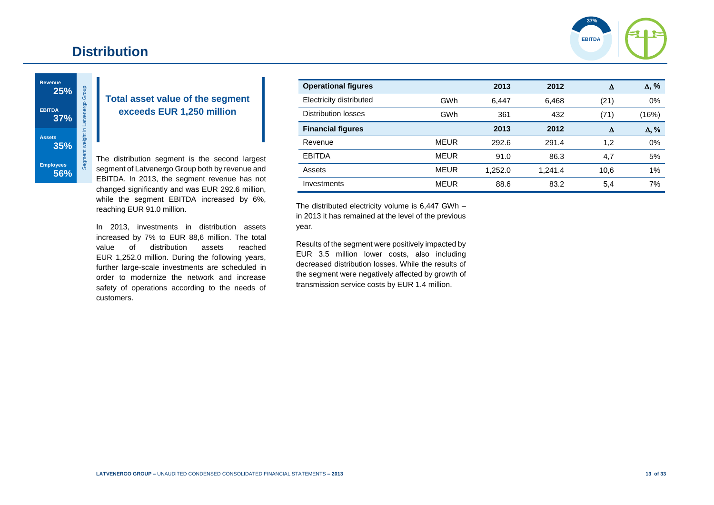# **Distribution**



**Revenue** Segment weight in Latvenergo Group **25% EBITDA 37% Assets 35% Employees 56%**

# **Total asset value of the segment exceeds EUR 1,250 million**

The distribution segment is the second largest segment of Latvenergo Group both by revenue and EBITDA. In 2013, the segment revenue has not changed significantly and was EUR 292.6 million, while the segment EBITDA increased by 6%, reaching EUR 91.0 million.

In 2013, investments in distribution assets increased by 7% to EUR 88,6 million. The total value of distribution assets reached EUR 1,252.0 million. During the following years, further large-scale investments are scheduled in order to modernize the network and increase safety of operations according to the needs of customers.

| <b>Operational figures</b> |             | 2013    | 2012    | Δ    | $\Delta$ , % |
|----------------------------|-------------|---------|---------|------|--------------|
| Electricity distributed    | GWh         | 6,447   | 6,468   | (21) | 0%           |
| Distribution losses        | GWh         | 361     | 432     | (71) | (16%)        |
| <b>Financial figures</b>   |             | 2013    | 2012    | Δ    | $\Delta$ , % |
| Revenue                    | <b>MEUR</b> | 292.6   | 291.4   | 1,2  | 0%           |
| <b>EBITDA</b>              | <b>MEUR</b> | 91.0    | 86.3    | 4,7  | 5%           |
| Assets                     | <b>MEUR</b> | 1.252.0 | 1,241.4 | 10,6 | $1\%$        |
| Investments                | <b>MEUR</b> | 88.6    | 83.2    | 5,4  | 7%           |

The distributed electricity volume is 6,447 GWh – in 2013 it has remained at the level of the previous year.

Results of the segment were positively impacted by EUR 3.5 million lower costs, also including decreased distribution losses. While the results of the segment were negatively affected by growth of transmission service costs by EUR 1.4 million.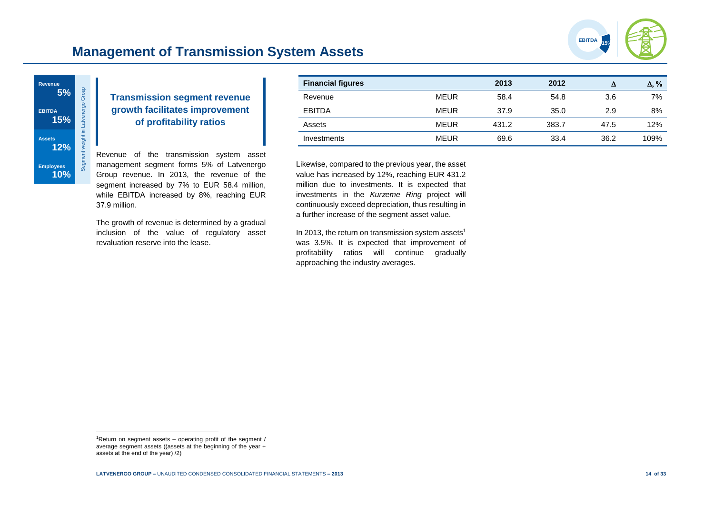

# **Management of Transmission System Assets**



# **Transmission segment revenue growth facilitates improvement of profitability ratios**

Revenue of the transmission system asset management segment forms 5% of Latvenergo Group revenue. In 2013, the revenue of the segment increased by 7% to EUR 58.4 million, while EBITDA increased by 8%, reaching EUR 37.9 million.

The growth of revenue is determined by a gradual inclusion of the value of regulatory asset revaluation reserve into the lease.

| <b>Financial figures</b> |             | 2013  | 2012  | Δ    | $\Delta$ , % |
|--------------------------|-------------|-------|-------|------|--------------|
| Revenue                  | <b>MEUR</b> | 58.4  | 54.8  | 3.6  | 7%           |
| <b>EBITDA</b>            | <b>MEUR</b> | 37.9  | 35.0  | 2.9  | 8%           |
| Assets                   | <b>MEUR</b> | 431.2 | 383.7 | 47.5 | 12%          |
| Investments              | <b>MEUR</b> | 69.6  | 33.4  | 36.2 | 109%         |

Likewise, compared to the previous year, the asset value has increased by 12%, reaching EUR 431.2 million due to investments. It is expected that investments in the *Kurzeme Ring* project will continuously exceed depreciation, thus resulting in a further increase of the segment asset value.

In 2013, the return on transmission system assets<sup>1</sup> was 3.5%. It is expected that improvement of profitability ratios will continue gradually approaching the industry averages.

l

<sup>&</sup>lt;sup>1</sup>Return on segment assets  $-$  operating profit of the segment / average segment assets ((assets at the beginning of the year + assets at the end of the year) /2)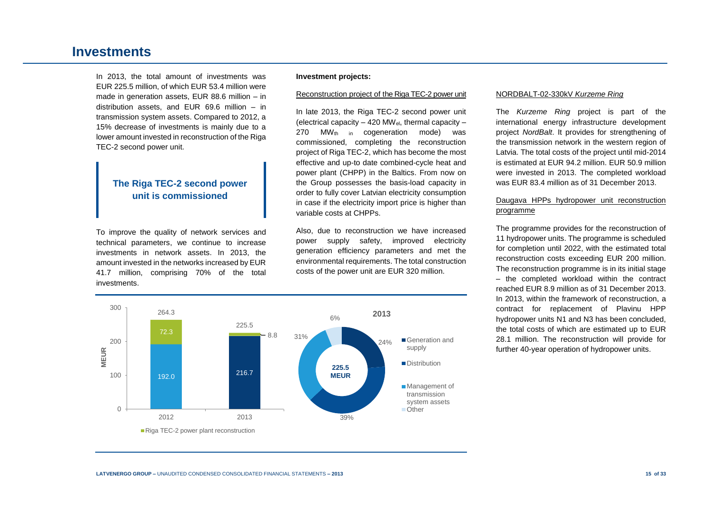# **Investments**

In 2013, the total amount of investments was EUR 225.5 million, of which EUR 53.4 million were made in generation assets, EUR 88.6 million – in distribution assets, and EUR 69.6 million – in transmission system assets. Compared to 2012, a 15% decrease of investments is mainly due to a lower amount invested in reconstruction of the Riga TEC-2 second power unit.

# **The Riga TEC-2 second power unit is commissioned**

To improve the quality of network services and technical parameters, we continue to increase investments in network assets. In 2013, the amount invested in the networks increased by EUR 41.7 million, comprising 70% of the total investments.

#### **Investment projects:**

#### Reconstruction project of the Riga TEC-2 power unit

In late 2013, the Riga TEC-2 second power unit (electrical capacity  $-$  420 MW<sub>el</sub>, thermal capacity  $-$ 270 MW<sub>th in</sub> cogeneration mode) was commissioned, completing the reconstruction project of Riga TEC-2, which has become the most effective and up-to date combined-cycle heat and power plant (CHPP) in the Baltics. From now on the Group possesses the basis-load capacity in order to fully cover Latvian electricity consumption in case if the electricity import price is higher than variable costs at CHPPs.

Also, due to reconstruction we have increased power supply safety, improved electricity generation efficiency parameters and met the environmental requirements. The total construction costs of the power unit are EUR 320 million.



#### NORDBALT-02-330kV *Kurzeme Ring*

The *Kurzeme Ring* project is part of the international energy infrastructure development project *NordBalt*. It provides for strengthening of the transmission network in the western region of Latvia. The total costs of the project until mid-2014 is estimated at EUR 94.2 million. EUR 50.9 million were invested in 2013. The completed workload was EUR 83.4 million as of 31 December 2013.

#### Daugava HPPs hydropower unit reconstruction programme

The programme provides for the reconstruction of 11 hydropower units. The programme is scheduled for completion until 2022, with the estimated total reconstruction costs exceeding EUR 200 million. The reconstruction programme is in its initial stage – the completed workload within the contract reached EUR 8.9 million as of 31 December 2013. In 2013, within the framework of reconstruction, a contract for replacement of Plavinu HPP hydropower units N1 and N3 has been concluded, the total costs of which are estimated up to EUR 28.1 million. The reconstruction will provide for further 40-year operation of hydropower units.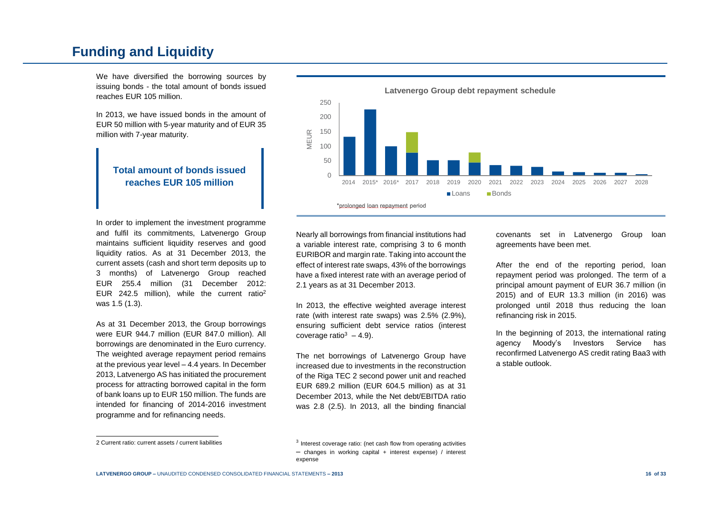# **Funding and Liquidity**

We have diversified the borrowing sources by issuing bonds - the total amount of bonds issued reaches EUR 105 million.

In 2013, we have issued bonds in the amount of EUR 50 million with 5-year maturity and of EUR 35 million with 7-year maturity.

# **Total amount of bonds issued reaches EUR 105 million**

In order to implement the investment programme and fulfil its commitments, Latvenergo Group maintains sufficient liquidity reserves and good liquidity ratios. As at 31 December 2013, the current assets (cash and short term deposits up to 3 months) of Latvenergo Group reached EUR 255.4 million (31 December 2012: EUR 242.5 million), while the current ratio<sup>2</sup> was 1.5 (1.3).

As at 31 December 2013, the Group borrowings were EUR 944.7 million (EUR 847.0 million). All borrowings are denominated in the Euro currency. The weighted average repayment period remains at the previous year level – 4.4 years. In December 2013, Latvenergo AS has initiated the procurement process for attracting borrowed capital in the form of bank loans up to EUR 150 million. The funds are intended for financing of 2014-2016 investment programme and for refinancing needs.



**Latvenergo Group debt repayment schedule**

Nearly all borrowings from financial institutions had a variable interest rate, comprising 3 to 6 month EURIBOR and margin rate. Taking into account the effect of interest rate swaps, 43% of the borrowings have a fixed interest rate with an average period of 2.1 years as at 31 December 2013.

In 2013, the effective weighted average interest rate (with interest rate swaps) was 2.5% (2.9%), ensuring sufficient debt service ratios (interest coverage ratio $3 - 4.9$ ).

The net borrowings of Latvenergo Group have increased due to investments in the reconstruction of the Riga TEC 2 second power unit and reached EUR 689.2 million (EUR 604.5 million) as at 31 December 2013, while the Net debt/EBITDA ratio was 2.8 (2.5). In 2013, all the binding financial covenants set in Latvenergo Group loan agreements have been met.

After the end of the reporting period, loan repayment period was prolonged. The term of a principal amount payment of EUR 36.7 million (in 2015) and of EUR 13.3 million (in 2016) was prolonged until 2018 thus reducing the loan refinancing risk in 2015.

In the beginning of 2013, the international rating agency Moody's Investors Service has reconfirmed Latvenergo AS credit rating Baa3 with a stable outlook.

l

<sup>2</sup> Current ratio: current assets / current liabilities

<sup>&</sup>lt;sup>3</sup> Interest coverage ratio: (net cash flow from operating activities – changes in working capital + interest expense) / interest expense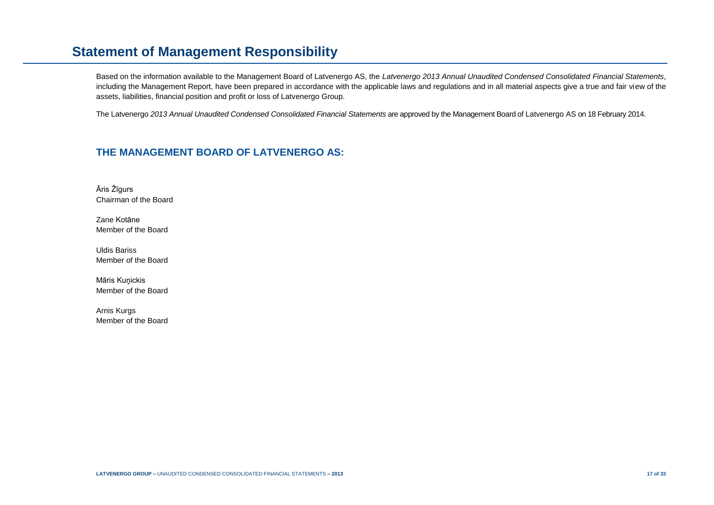# **Statement of Management Responsibility**

Based on the information available to the Management Board of Latvenergo AS, the *Latvenergo 2013 Annual Unaudited Condensed Consolidated Financial Statements*, including the Management Report, have been prepared in accordance with the applicable laws and regulations and in all material aspects give a true and fair view of the assets, liabilities, financial position and profit or loss of Latvenergo Group.

The Latvenergo *2013 Annual Unaudited Condensed Consolidated Financial Statements* are approved by the Management Board of Latvenergo AS on 18 February 2014.

# **THE MANAGEMENT BOARD OF LATVENERGO AS:**

Āris Žīgurs Chairman of the Board

Zane Kotāne Member of the Board

Uldis Bariss Member of the Board

Māris Kunickis Member of the Board

Arnis Kurgs Member of the Board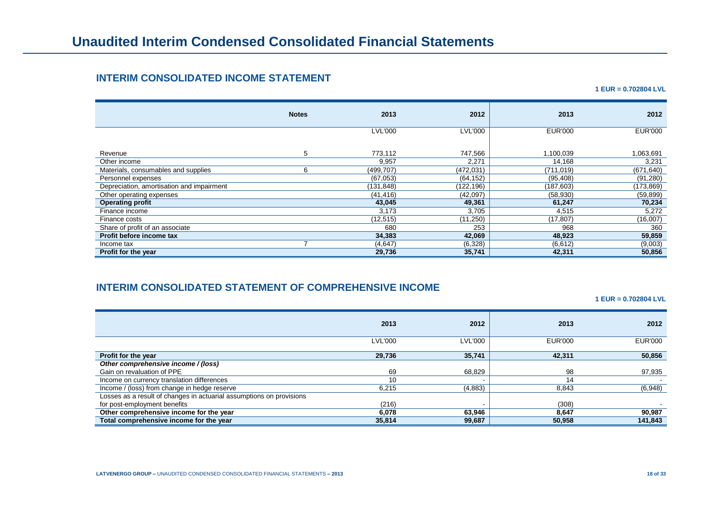# **INTERIM CONSOLIDATED INCOME STATEMENT**

**1 EUR = 0.702804 LVL**

|                                           | <b>Notes</b> | 2013           | 2012           | 2013           | 2012           |
|-------------------------------------------|--------------|----------------|----------------|----------------|----------------|
|                                           |              | <b>LVL'000</b> | <b>LVL'000</b> | <b>EUR'000</b> | <b>EUR'000</b> |
| Revenue                                   | 5            | 773,112        | 747,566        | 1,100,039      | 1,063,691      |
| Other income                              |              | 9,957          | 2,271          | 14,168         | 3,231          |
| Materials, consumables and supplies       | 6            | (499, 707)     | (472, 031)     | (711, 019)     | (671, 640)     |
| Personnel expenses                        |              | (67,053)       | (64, 152)      | (95, 408)      | (91, 280)      |
| Depreciation, amortisation and impairment |              | (131, 848)     | (122,196)      | (187, 603)     | (173,869)      |
| Other operating expenses                  |              | (41, 416)      | (42,097)       | (58, 930)      | (59, 899)      |
| <b>Operating profit</b>                   |              | 43,045         | 49,361         | 61,247         | 70,234         |
| Finance income                            |              | 3,173          | 3,705          | 4,515          | 5,272          |
| Finance costs                             |              | (12, 515)      | (11,250)       | (17, 807)      | (16,007)       |
| Share of profit of an associate           |              | 680            | 253            | 968            | 360            |
| Profit before income tax                  |              | 34,383         | 42,069         | 48,923         | 59,859         |
| Income tax                                |              | (4,647)        | (6,328)        | (6,612)        | (9,003)        |
| Profit for the year                       |              | 29,736         | 35,741         | 42,311         | 50,856         |

# **INTERIM CONSOLIDATED STATEMENT OF COMPREHENSIVE INCOME**

**1 EUR = 0.702804 LVL**

|                                                                      | 2013           | 2012           | 2013           | 2012           |
|----------------------------------------------------------------------|----------------|----------------|----------------|----------------|
|                                                                      |                |                |                |                |
|                                                                      | <b>LVL'000</b> | <b>LVL'000</b> | <b>EUR'000</b> | <b>EUR'000</b> |
|                                                                      |                |                |                |                |
| Profit for the year                                                  | 29,736         | 35,741         | 42.311         | 50,856         |
| Other comprehensive income / (loss)                                  |                |                |                |                |
| Gain on revaluation of PPE                                           | 69             | 68,829         | 98             | 97,935         |
| Income on currency translation differences                           | 10             |                | 14             |                |
| Income / (loss) from change in hedge reserve                         | 6,215          | (4,883)        | 8,843          | (6,948)        |
| Losses as a result of changes in actuarial assumptions on provisions |                |                |                |                |
| for post-employment benefits                                         | (216)          |                | (308)          |                |
| Other comprehensive income for the year                              | 6,078          | 63.946         | 8,647          | 90,987         |
| Total comprehensive income for the year                              | 35,814         | 99,687         | 50,958         | 141.843        |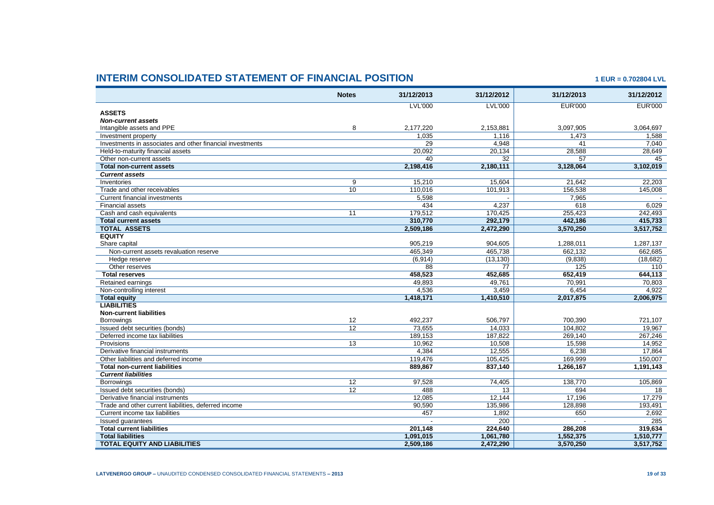# **INTERIM CONSOLIDATED STATEMENT OF FINANCIAL POSITION 1 EUR = 0.702804 LVL**

|                                                           | <b>Notes</b>    | 31/12/2013      | 31/12/2012      | 31/12/2013      | 31/12/2012     |
|-----------------------------------------------------------|-----------------|-----------------|-----------------|-----------------|----------------|
|                                                           |                 | <b>LVL'000</b>  | <b>LVL'000</b>  | <b>EUR'000</b>  | <b>EUR'000</b> |
| <b>ASSETS</b>                                             |                 |                 |                 |                 |                |
| <b>Non-current assets</b>                                 |                 |                 |                 |                 |                |
| Intangible assets and PPE                                 | 8               | 2.177.220       | 2.153.881       | 3.097.905       | 3.064.697      |
| Investment property                                       |                 | 1,035           | 1,116           | 1,473           | 1,588          |
| Investments in associates and other financial investments |                 | $\overline{29}$ | 4,948           | 41              | 7,040          |
| Held-to-maturity financial assets                         |                 | 20,092          | 20,134          | 28,588          | 28,649         |
| Other non-current assets                                  |                 | 40              | $\overline{32}$ | $\overline{57}$ | 45             |
| <b>Total non-current assets</b>                           |                 | 2,198,416       | 2,180,111       | 3,128,064       | 3,102,019      |
| <b>Current assets</b>                                     |                 |                 |                 |                 |                |
| Inventories                                               | $\overline{9}$  | 15,210          | 15.604          | 21.642          | 22.203         |
| Trade and other receivables                               | 10              | 110,016         | 101,913         | 156,538         | 145,008        |
| Current financial investments                             |                 | 5,598           |                 | 7,965           |                |
| <b>Financial assets</b>                                   |                 | 434             | 4.237           | 618             | 6.029          |
| Cash and cash equivalents                                 | $\overline{11}$ | 179,512         | 170,425         | 255,423         | 242,493        |
| <b>Total current assets</b>                               |                 | 310.770         | 292.179         | 442.186         | 415,733        |
| <b>TOTAL ASSETS</b>                                       |                 | 2,509,186       | 2,472,290       | 3,570,250       | 3,517,752      |
| <b>EQUITY</b>                                             |                 |                 |                 |                 |                |
| Share capital                                             |                 | 905.219         | 904.605         | 1.288.011       | 1.287.137      |
| Non-current assets revaluation reserve                    |                 | 465.349         | 465,738         | 662.132         | 662,685        |
| Hedge reserve                                             |                 | (6,914)         | (13, 130)       | (9,838)         | (18, 682)      |
| Other reserves                                            |                 | 88              | 77              | 125             | 110            |
| <b>Total reserves</b>                                     |                 | 458,523         | 452,685         | 652,419         | 644,113        |
| Retained earnings                                         |                 | 49.893          | 49.761          | 70.991          | 70.803         |
| Non-controlling interest                                  |                 | 4,536           | 3,459           | 6,454           | 4,922          |
| <b>Total equity</b>                                       |                 | 1,418,171       | 1,410,510       | 2,017,875       | 2,006,975      |
| <b>LIABILITIES</b>                                        |                 |                 |                 |                 |                |
| <b>Non-current liabilities</b>                            |                 |                 |                 |                 |                |
| <b>Borrowings</b>                                         | 12              | 492,237         | 506,797         | 700,390         | 721.107        |
| Issued debt securities (bonds)                            | $\overline{12}$ | 73,655          | 14,033          | 104,802         | 19,967         |
| Deferred income tax liabilities                           |                 | 189.153         | 187.822         | 269.140         | 267.246        |
| Provisions                                                | $\overline{13}$ | 10,962          | 10,508          | 15,598          | 14,952         |
| Derivative financial instruments                          |                 | 4,384           | 12,555          | 6.238           | 17,864         |
| Other liabilities and deferred income                     |                 | 119,476         | 105,425         | 169,999         | 150,007        |
| <b>Total non-current liabilities</b>                      |                 | 889,867         | 837,140         | 1,266,167       | 1,191,143      |
| <b>Current liabilities</b>                                |                 |                 |                 |                 |                |
| <b>Borrowings</b>                                         | 12              | 97,528          | 74,405          | 138,770         | 105,869        |
| Issued debt securities (bonds)                            | $\overline{12}$ | 488             | $\overline{13}$ | 694             | 18             |
| Derivative financial instruments                          |                 | 12.085          | 12.144          | 17.196          | 17.279         |
| Trade and other current liabilities, deferred income      |                 | 90,590          | 135,986         | 128,898         | 193,491        |
| Current income tax liabilities                            |                 | 457             | 1,892           | 650             | 2,692          |
| Issued guarantees                                         |                 |                 | 200             |                 | 285            |
| <b>Total current liabilities</b>                          |                 | 201.148         | 224.640         | 286.208         | 319.634        |
| <b>Total liabilities</b>                                  |                 | 1,091,015       | 1,061,780       | 1,552,375       | 1,510,777      |
| <b>TOTAL EQUITY AND LIABILITIES</b>                       |                 | 2,509,186       | 2,472,290       | 3,570,250       | 3,517,752      |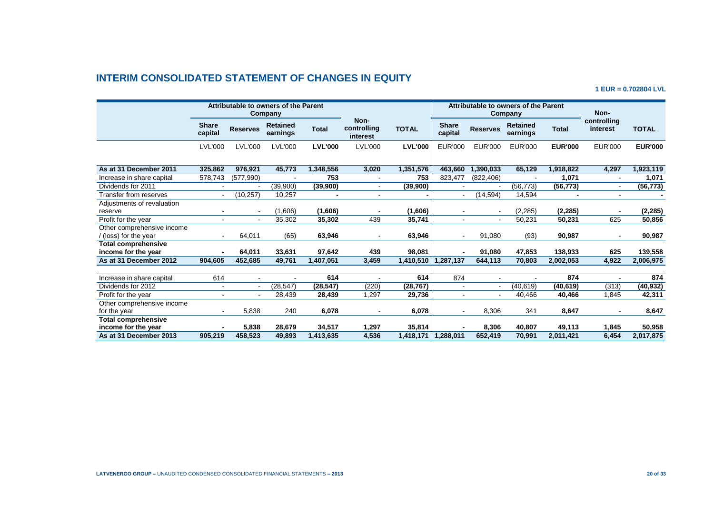# **INTERIM CONSOLIDATED STATEMENT OF CHANGES IN EQUITY**

**1 EUR = 0.702804 LVL**

|                            | Attributable to owners of the Parent<br>Company |                          |                             |                |                                 |                |                         | Attributable to owners of the Parent<br>Company |                             | Non-           |                          |                |
|----------------------------|-------------------------------------------------|--------------------------|-----------------------------|----------------|---------------------------------|----------------|-------------------------|-------------------------------------------------|-----------------------------|----------------|--------------------------|----------------|
|                            | <b>Share</b><br>capital                         | <b>Reserves</b>          | <b>Retained</b><br>earnings | <b>Total</b>   | Non-<br>controlling<br>interest | <b>TOTAL</b>   | <b>Share</b><br>capital | <b>Reserves</b>                                 | <b>Retained</b><br>earnings | <b>Total</b>   | controlling<br>interest  | <b>TOTAL</b>   |
|                            | <b>LVL'000</b>                                  | <b>LVL'000</b>           | <b>LVL'000</b>              | <b>LVL'000</b> | <b>LVL'000</b>                  | <b>LVL'000</b> | EUR'000                 | <b>EUR'000</b>                                  | EUR'000                     | <b>EUR'000</b> | <b>EUR'000</b>           | <b>EUR'000</b> |
| As at 31 December 2011     | 325,862                                         | 976,921                  | 45,773                      | 1,348,556      | 3,020                           | 1,351,576      | 463.660                 | 1,390,033                                       | 65,129                      | 1,918,822      | 4,297                    | 1,923,119      |
| Increase in share capital  | 578,743                                         | (577, 990)               |                             | 753            |                                 | 753            | 823.477                 | (822, 406)                                      |                             | 1,071          | $\overline{\phantom{a}}$ | 1,071          |
| Dividends for 2011         |                                                 |                          | (39,900)                    | (39,900)       |                                 | (39,900)       |                         |                                                 | (56, 773)                   | (56, 773)      | $\overline{\phantom{a}}$ | (56, 773)      |
| Transfer from reserves     | $\overline{\phantom{a}}$                        | (10, 257)                | 10,257                      | $\blacksquare$ | $\blacksquare$                  |                |                         | (14, 594)                                       | 14,594                      |                | $\blacksquare$           |                |
| Adjustments of revaluation |                                                 |                          |                             |                |                                 |                |                         |                                                 |                             |                |                          |                |
| reserve                    |                                                 | $\overline{\phantom{a}}$ | (1,606)                     | (1,606)        |                                 | (1,606)        |                         |                                                 | (2, 285)                    | (2, 285)       |                          | (2,285)        |
| Profit for the year        | $\blacksquare$                                  | $\blacksquare$           | 35,302                      | 35,302         | 439                             | 35,741         | $\sim$                  | $\sim$                                          | 50,231                      | 50.231         | 625                      | 50,856         |
| Other comprehensive income |                                                 |                          |                             |                |                                 |                |                         |                                                 |                             |                |                          |                |
| (loss) for the year        | $\blacksquare$                                  | 64,011                   | (65)                        | 63,946         |                                 | 63,946         | $\sim$                  | 91,080                                          | (93)                        | 90,987         | $\blacksquare$           | 90,987         |
| Total comprehensive        |                                                 |                          |                             |                |                                 |                |                         |                                                 |                             |                |                          |                |
| income for the year        | $\blacksquare$                                  | 64,011                   | 33,631                      | 97,642         | 439                             | 98,081         |                         | 91.080                                          | 47.853                      | 138,933        | 625                      | 139,558        |
| As at 31 December 2012     | 904,605                                         | 452,685                  | 49,761                      | 1,407,051      | 3,459                           | 1,410,510      | 1,287,137               | 644,113                                         | 70,803                      | 2,002,053      | 4,922                    | 2,006,975      |
|                            |                                                 |                          |                             |                |                                 |                |                         |                                                 |                             |                |                          |                |
| Increase in share capital  | 614                                             |                          |                             | 614            |                                 | 614            | 874                     |                                                 |                             | 874            |                          | 874            |
| Dividends for 2012         | $\blacksquare$                                  | $\blacksquare$           | (28, 547)                   | (28, 547)      | (220)                           | (28, 767)      |                         |                                                 | (40, 619)                   | (40, 619)      | (313)                    | (40, 932)      |
| Profit for the year        |                                                 | $\blacksquare$           | 28,439                      | 28,439         | 1,297                           | 29,736         |                         |                                                 | 40.466                      | 40,466         | 1,845                    | 42,311         |
| Other comprehensive income |                                                 |                          |                             |                |                                 |                |                         |                                                 |                             |                |                          |                |
| for the year               |                                                 | 5,838                    | 240                         | 6,078          |                                 | 6,078          |                         | 8,306                                           | 341                         | 8,647          |                          | 8,647          |
| <b>Total comprehensive</b> |                                                 |                          |                             |                |                                 |                |                         |                                                 |                             |                |                          |                |
| income for the year        |                                                 | 5,838                    | 28,679                      | 34,517         | 1,297                           | 35,814         |                         | 8,306                                           | 40.807                      | 49,113         | 1,845                    | 50,958         |
| As at 31 December 2013     | 905,219                                         | 458,523                  | 49,893                      | 1,413,635      | 4,536                           | 1,418,171      | 1,288,011               | 652,419                                         | 70,991                      | 2,011,421      | 6,454                    | 2,017,875      |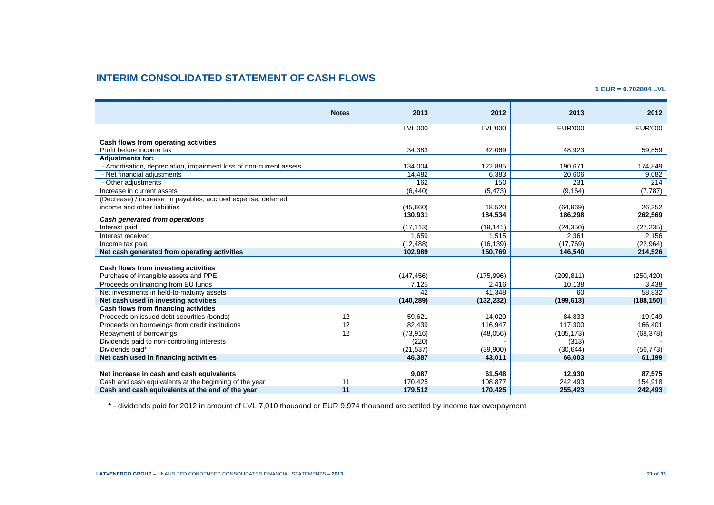# **INTERIM CONSOLIDATED STATEMENT OF CASH FLOWS**

**1 EUR = 0.702804 LVL**

|                                                                     | <b>Notes</b>    | 2013           | 2012           | 2013           | 2012           |
|---------------------------------------------------------------------|-----------------|----------------|----------------|----------------|----------------|
|                                                                     |                 | <b>LVL'000</b> | <b>LVL'000</b> | <b>EUR'000</b> | <b>EUR'000</b> |
| Cash flows from operating activities                                |                 |                |                |                |                |
| Profit before income tax                                            |                 | 34.383         | 42.069         | 48.923         | 59.859         |
| <b>Adjustments for:</b>                                             |                 |                |                |                |                |
| - Amortisation, depreciation, impairment loss of non-current assets |                 | 134,004        | 122,885        | 190,671        | 174,849        |
| - Net financial adjustments                                         |                 | 14,482         | 6,383          | 20,606         | 9,082          |
| - Other adjustments                                                 |                 | 162            | 150            | 231            | 214            |
| Increase in current assets                                          |                 | (6, 440)       | (5, 473)       | (9, 164)       | (7, 787)       |
| (Decrease) / increase in payables, accrued expense, deferred        |                 |                |                |                |                |
| income and other liabilities                                        |                 | (45,660)       | 18,520         | (64, 969)      | 26,352         |
|                                                                     |                 | 130,931        | 184,534        | 186,298        | 262,569        |
| Cash generated from operations<br>Interest paid                     |                 | (17, 113)      | (19, 141)      | (24, 350)      | (27, 235)      |
| Interest received                                                   |                 | 1.659          | 1,515          | 2,361          | 2,156          |
| Income tax paid                                                     |                 | (12, 488)      | (16, 139)      | (17,769)       | (22, 964)      |
| Net cash generated from operating activities                        |                 | 102.989        | 150,769        | 146,540        | 214,526        |
|                                                                     |                 |                |                |                |                |
| Cash flows from investing activities                                |                 |                |                |                |                |
| Purchase of intangible assets and PPE                               |                 | (147, 456)     | (175, 996)     | (209, 811)     | (250, 420)     |
| Proceeds on financing from EU funds                                 |                 | 7.125          | 2,416          | 10,138         | 3,438          |
| Net investments in held-to-maturity assets                          |                 | 42             | 41,348         | 60             | 58,832         |
| Net cash used in investing activities                               |                 | (140, 289)     | (132, 232)     | (199, 613)     | (188, 150)     |
| Cash flows from financing activities                                |                 |                |                |                |                |
| Proceeds on issued debt securities (bonds)                          | 12              | 59.621         | 14,020         | 84.833         | 19.949         |
| Proceeds on borrowings from credit institutions                     | $\overline{12}$ | 82,439         | 116,947        | 117,300        | 166,401        |
| Repayment of borrowings                                             | $\overline{12}$ | (73, 916)      | (48,056)       | (105, 173)     | (68, 378)      |
| Dividends paid to non-controlling interests                         |                 | (220)          |                | (313)          |                |
| Dividends paid*                                                     |                 | (21, 537)      | (39,900)       | (30, 644)      | (56, 773)      |
| Net cash used in financing activities                               |                 | 46,387         | 43,011         | 66,003         | 61,199         |
|                                                                     |                 |                |                |                |                |
| Net increase in cash and cash equivalents                           |                 | 9,087          | 61,548         | 12,930         | 87,575         |
| Cash and cash equivalents at the beginning of the year              | 11              | 170,425        | 108,877        | 242,493        | 154,918        |
| Cash and cash equivalents at the end of the year                    | 11              | 179,512        | 170,425        | 255,423        | 242,493        |

\* - dividends paid for 2012 in amount of LVL 7,010 thousand or EUR 9,974 thousand are settled by income tax overpayment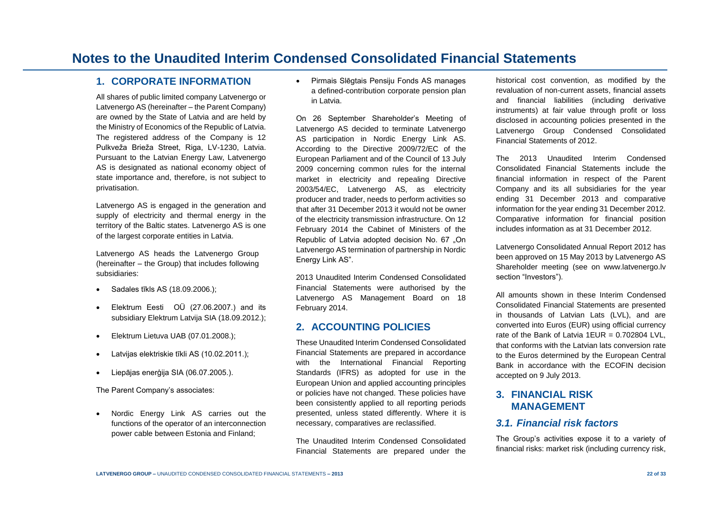# **Notes to the Unaudited Interim Condensed Consolidated Financial Statements**

#### **1. CORPORATE INFORMATION**

All shares of public limited company Latvenergo or Latvenergo AS (hereinafter – the Parent Company) are owned by the State of Latvia and are held by the Ministry of Economics of the Republic of Latvia. The registered address of the Company is 12 Pulkveža Brieža Street, Riga, LV-1230, Latvia. Pursuant to the Latvian Energy Law, Latvenergo AS is designated as national economy object of state importance and, therefore, is not subject to privatisation.

Latvenergo AS is engaged in the generation and supply of electricity and thermal energy in the territory of the Baltic states. Latvenergo AS is one of the largest corporate entities in Latvia.

Latvenergo AS heads the Latvenergo Group (hereinafter – the Group) that includes following subsidiaries:

- Sadales tīkls AS (18.09.2006.);
- Elektrum Eesti OÜ (27.06.2007.) and its subsidiary Elektrum Latvija SIA (18.09.2012.);
- Elektrum Lietuva UAB (07.01.2008.);
- Latvijas elektriskie tīkli AS (10.02.2011.);
- Liepājas enerģija SIA (06.07.2005.).

The Parent Company's associates:

 Nordic Energy Link AS carries out the functions of the operator of an interconnection power cable between Estonia and Finland;

 Pirmais Slēgtais Pensiju Fonds AS manages a defined-contribution corporate pension plan in Latvia.

On 26 September Shareholder's Meeting of Latvenergo AS decided to terminate Latvenergo AS participation in Nordic Energy Link AS. According to the Directive [2009/72/EC](http://eur-lex.europa.eu/LexUriServ/LexUriServ.do?uri=OJ:L:2009:211:0055:01:LV:HTML) of the European Parliament and of the Council of 13 July 2009 concerning common rules for the internal market in electricity and repealing Directive 2003/54/EC, Latvenergo AS, as electricity producer and trader, needs to perform activities so that after 31 December 2013 it would not be owner of the electricity transmission infrastructure. On 12 February 2014 the Cabinet of Ministers of the Republic of Latvia adopted decision No. 67 ..On Latvenergo AS termination of partnership in Nordic Energy Link AS".

2013 Unaudited Interim Condensed Consolidated Financial Statements were authorised by the Latvenergo AS Management Board on 18 February 2014.

#### **2. ACCOUNTING POLICIES**

These Unaudited Interim Condensed Consolidated Financial Statements are prepared in accordance with the International Financial Reporting Standards (IFRS) as adopted for use in the European Union and applied accounting principles or policies have not changed. These policies have been consistently applied to all reporting periods presented, unless stated differently. Where it is necessary, comparatives are reclassified.

The Unaudited Interim Condensed Consolidated Financial Statements are prepared under the historical cost convention, as modified by the revaluation of non-current assets, financial assets and financial liabilities (including derivative instruments) at fair value through profit or loss disclosed in accounting policies presented in the Latvenergo Group Condensed Consolidated Financial Statements of 2012.

The 2013 Unaudited Interim Condensed Consolidated Financial Statements include the financial information in respect of the Parent Company and its all subsidiaries for the year ending 31 December 2013 and comparative information for the year ending 31 December 2012. Comparative information for financial position includes information as at 31 December 2012.

Latvenergo Consolidated Annual Report 2012 has been approved on 15 May 2013 by Latvenergo AS Shareholder meeting (see on www.latvenergo.lv section "Investors").

All amounts shown in these Interim Condensed Consolidated Financial Statements are presented in thousands of Latvian Lats (LVL), and are converted into Euros (EUR) using official currency rate of the Bank of Latvia 1 $FUR = 0.702804$  LVL that conforms with the Latvian lats conversion rate to the Euros determined by the European Central Bank in accordance with the ECOFIN decision accepted on 9 July 2013.

## **3. FINANCIAL RISK MANAGEMENT**

### *3.1. Financial risk factors*

The Group's activities expose it to a variety of financial risks: market risk (including currency risk,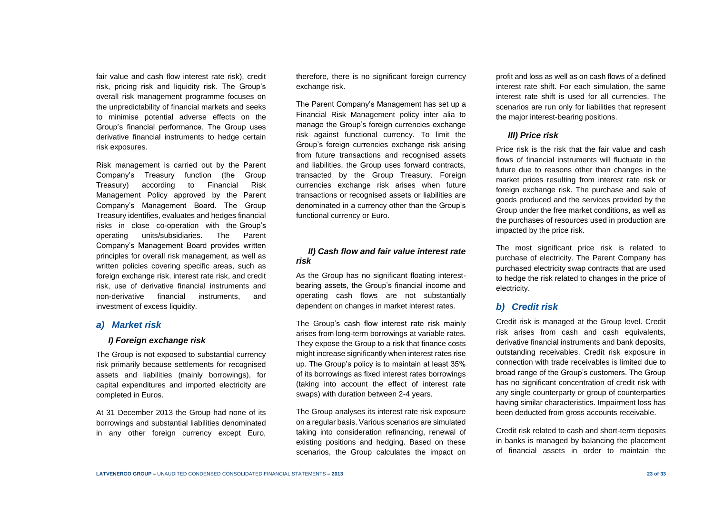fair value and cash flow interest rate risk), credit risk, pricing risk and liquidity risk. The Group's overall risk management programme focuses on the unpredictability of financial markets and seeks to minimise potential adverse effects on the Group's financial performance. The Group uses derivative financial instruments to hedge certain risk exposures.

Risk management is carried out by the Parent Company's Treasury function (the Group Treasury) according to Financial Risk Management Policy approved by the Parent Company's Management Board. The Group Treasury identifies, evaluates and hedges financial risks in close co-operation with the Group's operating units/subsidiaries. The Parent Company's Management Board provides written principles for overall risk management, as well as written policies covering specific areas, such as foreign exchange risk, interest rate risk, and credit risk, use of derivative financial instruments and non-derivative financial instruments, and investment of excess liquidity.

#### *a) Market risk*

#### *I) Foreign exchange risk*

The Group is not exposed to substantial currency risk primarily because settlements for recognised assets and liabilities (mainly borrowings), for capital expenditures and imported electricity are completed in Euros.

At 31 December 2013 the Group had none of its borrowings and substantial liabilities denominated in any other foreign currency except Euro, therefore, there is no significant foreign currency exchange risk.

The Parent Company's Management has set up a Financial Risk Management policy inter alia to manage the Group's foreign currencies exchange risk against functional currency. To limit the Group's foreign currencies exchange risk arising from future transactions and recognised assets and liabilities, the Group uses forward contracts, transacted by the Group Treasury. Foreign currencies exchange risk arises when future transactions or recognised assets or liabilities are denominated in a currency other than the Group's functional currency or Euro.

#### *II) Cash flow and fair value interest rate risk*

As the Group has no significant floating interestbearing assets, the Group's financial income and operating cash flows are not substantially dependent on changes in market interest rates.

The Group's cash flow interest rate risk mainly arises from long-term borrowings at variable rates. They expose the Group to a risk that finance costs might increase significantly when interest rates rise up. The Group's policy is to maintain at least 35% of its borrowings as fixed interest rates borrowings (taking into account the effect of interest rate swaps) with duration between 2-4 years.

The Group analyses its interest rate risk exposure on a regular basis. Various scenarios are simulated taking into consideration refinancing, renewal of existing positions and hedging. Based on these scenarios, the Group calculates the impact on

profit and loss as well as on cash flows of a defined interest rate shift. For each simulation, the same interest rate shift is used for all currencies. The scenarios are run only for liabilities that represent the major interest-bearing positions.

#### *III) Price risk*

Price risk is the risk that the fair value and cash flows of financial instruments will fluctuate in the future due to reasons other than changes in the market prices resulting from interest rate risk or foreign exchange risk. The purchase and sale of goods produced and the services provided by the Group under the free market conditions, as well as the purchases of resources used in production are impacted by the price risk.

The most significant price risk is related to purchase of electricity. The Parent Company has purchased electricity swap contracts that are used to hedge the risk related to changes in the price of electricity.

#### *b) Credit risk*

Credit risk is managed at the Group level. Credit risk arises from cash and cash equivalents, derivative financial instruments and bank deposits, outstanding receivables. Credit risk exposure in connection with trade receivables is limited due to broad range of the Group's customers. The Group has no significant concentration of credit risk with any single counterparty or group of counterparties having similar characteristics. Impairment loss has been deducted from gross accounts receivable.

Credit risk related to cash and short-term deposits in banks is managed by balancing the placement of financial assets in order to maintain the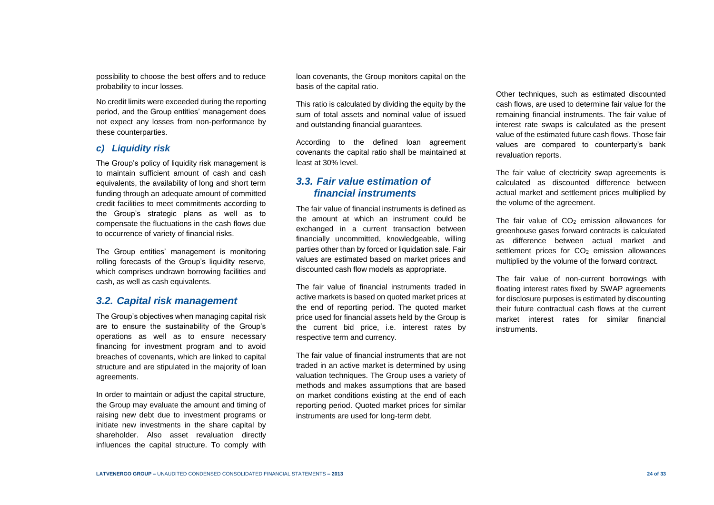possibility to choose the best offers and to reduce probability to incur losses.

No credit limits were exceeded during the reporting period, and the Group entities' management does not expect any losses from non-performance by these counterparties.

#### *c) Liquidity risk*

The Group's policy of liquidity risk management is to maintain sufficient amount of cash and cash equivalents, the availability of long and short term funding through an adequate amount of committed credit facilities to meet commitments according to the Group's strategic plans as well as to compensate the fluctuations in the cash flows due to occurrence of variety of financial risks.

The Group entities' management is monitoring rolling forecasts of the Group's liquidity reserve, which comprises undrawn borrowing facilities and cash, as well as cash equivalents.

### *3.2. Capital risk management*

The Group's objectives when managing capital risk are to ensure the sustainability of the Group's operations as well as to ensure necessary financing for investment program and to avoid breaches of covenants, which are linked to capital structure and are stipulated in the majority of loan agreements.

In order to maintain or adjust the capital structure, the Group may evaluate the amount and timing of raising new debt due to investment programs or initiate new investments in the share capital by shareholder. Also asset revaluation directly influences the capital structure. To comply with

loan covenants, the Group monitors capital on the basis of the capital ratio.

This ratio is calculated by dividing the equity by the sum of total assets and nominal value of issued and outstanding financial guarantees.

According to the defined loan agreement covenants the capital ratio shall be maintained at least at 30% level.

### *3.3. Fair value estimation of financial instruments*

The fair value of financial instruments is defined as the amount at which an instrument could be exchanged in a current transaction between financially uncommitted, knowledgeable, willing parties other than by forced or liquidation sale. Fair values are estimated based on market prices and discounted cash flow models as appropriate.

The fair value of financial instruments traded in active markets is based on quoted market prices at the end of reporting period. The quoted market price used for financial assets held by the Group is the current bid price, i.e. interest rates by respective term and currency.

The fair value of financial instruments that are not traded in an active market is determined by using valuation techniques. The Group uses a variety of methods and makes assumptions that are based on market conditions existing at the end of each reporting period. Quoted market prices for similar instruments are used for long-term debt.

Other techniques, such as estimated discounted cash flows, are used to determine fair value for the remaining financial instruments. The fair value of interest rate swaps is calculated as the present value of the estimated future cash flows. Those fair values are compared to counterparty's bank revaluation reports.

The fair value of electricity swap agreements is calculated as discounted difference between actual market and settlement prices multiplied by the volume of the agreement.

The fair value of  $CO<sub>2</sub>$  emission allowances for greenhouse gases forward contracts is calculated as difference between actual market and settlement prices for  $CO<sub>2</sub>$  emission allowances multiplied by the volume of the forward contract.

The fair value of non-current borrowings with floating interest rates fixed by SWAP agreements for disclosure purposes is estimated by discounting their future contractual cash flows at the current market interest rates for similar financial instruments.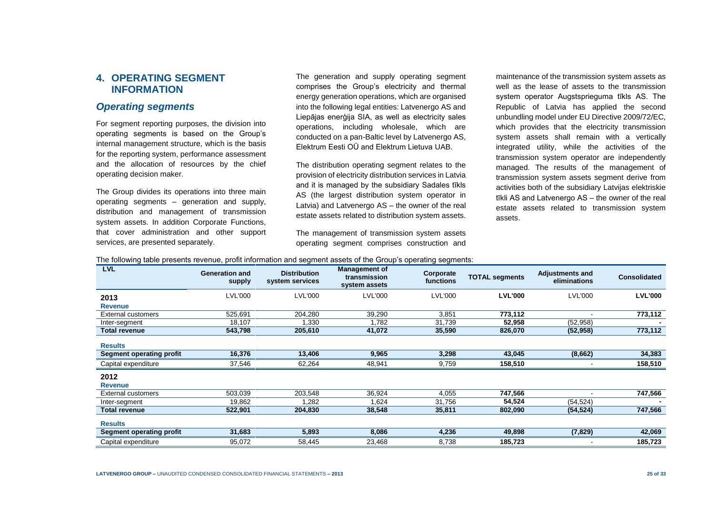## **4. OPERATING SEGMENT INFORMATION**

### *Operating segments*

For segment reporting purposes, the division into operating segments is based on the Group's internal management structure, which is the basis for the reporting system, performance assessment and the allocation of resources by the chief operating decision maker.

The Group divides its operations into three main operating segments – generation and supply, distribution and management of transmission system assets. In addition Corporate Functions, that cover administration and other support services, are presented separately.

The generation and supply operating segment comprises the Group's electricity and thermal energy generation operations, which are organised into the following legal entities: Latvenergo AS and Liepājas enerģija SIA, as well as electricity sales operations, including wholesale, which are conducted on a pan-Baltic level by Latvenergo AS, Elektrum Eesti OÜ and Elektrum Lietuva UAB.

The distribution operating segment relates to the provision of electricity distribution services in Latvia and it is managed by the subsidiary Sadales tīkls AS (the largest distribution system operator in Latvia) and Latvenergo AS – the owner of the real estate assets related to distribution system assets.

The management of transmission system assets operating segment comprises construction and

maintenance of the transmission system assets as well as the lease of assets to the transmission system operator Augstsprieguma tīkls AS. The Republic of Latvia has applied the second unbundling model under EU Directive 2009/72/EC, which provides that the electricity transmission system assets shall remain with a vertically integrated utility, while the activities of the transmission system operator are independently managed. The results of the management of transmission system assets segment derive from activities both of the subsidiary Latvijas elektriskie tīkli AS and Latvenergo AS – the owner of the real estate assets related to transmission system assets.

| <b>LVL</b>                      | <b>Generation and</b><br>supply | <b>Distribution</b><br>system services | <b>Management of</b><br>transmission<br>system assets | Corporate<br>functions | <b>TOTAL segments</b> | <b>Adjustments and</b><br>eliminations | <b>Consolidated</b> |
|---------------------------------|---------------------------------|----------------------------------------|-------------------------------------------------------|------------------------|-----------------------|----------------------------------------|---------------------|
| 2013                            | LVL'000                         | <b>LVL'000</b>                         | <b>LVL'000</b>                                        | <b>LVL'000</b>         | <b>LVL'000</b>        | <b>LVL'000</b>                         | <b>LVL'000</b>      |
| <b>Revenue</b>                  |                                 |                                        |                                                       |                        |                       |                                        |                     |
| <b>External customers</b>       | 525.691                         | 204.280                                | 39,290                                                | 3.851                  | 773,112               |                                        | 773,112             |
| Inter-segment                   | 18,107                          | ,330                                   | .782                                                  | 31.739                 | 52,958                | (52, 958)                              |                     |
| <b>Total revenue</b>            | 543,798                         | 205,610                                | 41,072                                                | 35,590                 | 826,070               | (52, 958)                              | 773,112             |
| <b>Results</b>                  | 16,376                          | 13,406                                 | 9,965                                                 | 3,298                  | 43,045                |                                        | 34,383              |
| Segment operating profit        |                                 |                                        |                                                       |                        |                       | (8,662)                                |                     |
| Capital expenditure             | 37,546                          | 62,264                                 | 48,941                                                | 9,759                  | 158,510               |                                        | 158,510             |
| 2012<br><b>Revenue</b>          |                                 |                                        |                                                       |                        |                       |                                        |                     |
| <b>External customers</b>       | 503,039                         | 203,548                                | 36,924                                                | 4,055                  | 747,566               |                                        | 747,566             |
| Inter-segment                   | 19,862                          | .282                                   | 1,624                                                 | 31,756                 | 54,524                | (54, 524)                              |                     |
| <b>Total revenue</b>            | 522,901                         | 204,830                                | 38,548                                                | 35,811                 | 802,090               | (54, 524)                              | 747,566             |
| <b>Results</b>                  |                                 |                                        |                                                       |                        |                       |                                        |                     |
| <b>Segment operating profit</b> | 31,683                          | 5,893                                  | 8,086                                                 | 4,236                  | 49,898                | (7, 829)                               | 42,069              |
| Capital expenditure             | 95,072                          | 58,445                                 | 23,468                                                | 8,738                  | 185,723               |                                        | 185,723             |

The following table presents revenue, profit information and segment assets of the Group's operating segments: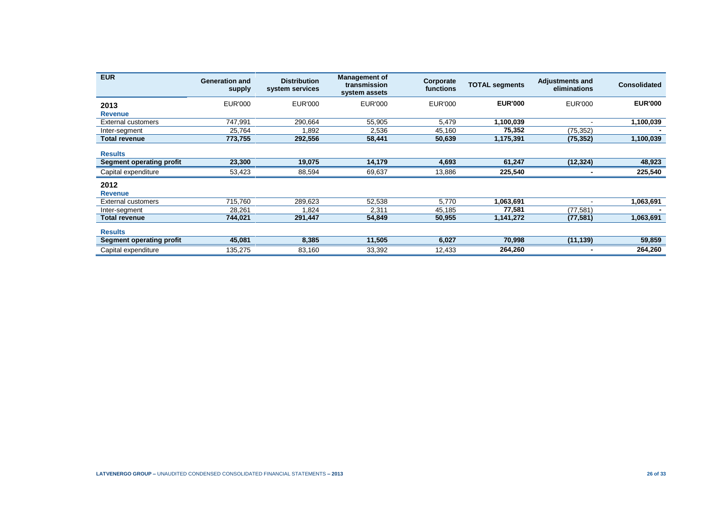| <b>EUR</b>                      | <b>Generation and</b><br>supply | <b>Distribution</b><br>system services | <b>Management of</b><br>transmission<br>system assets | Corporate<br>functions | <b>TOTAL segments</b> | <b>Adjustments and</b><br>eliminations | <b>Consolidated</b> |
|---------------------------------|---------------------------------|----------------------------------------|-------------------------------------------------------|------------------------|-----------------------|----------------------------------------|---------------------|
| 2013                            | <b>EUR'000</b>                  | <b>EUR'000</b>                         | <b>EUR'000</b>                                        | <b>EUR'000</b>         | <b>EUR'000</b>        | <b>EUR'000</b>                         | <b>EUR'000</b>      |
| <b>Revenue</b>                  |                                 |                                        |                                                       |                        |                       |                                        |                     |
| External customers              | 747,991                         | 290,664                                | 55,905                                                | 5,479                  | 1,100,039             |                                        | 1,100,039           |
| Inter-segment                   | 25,764                          | .892                                   | 2,536                                                 | 45,160                 | 75,352                | (75, 352)                              |                     |
| <b>Total revenue</b>            | 773,755                         | 292,556                                | 58,441                                                | 50,639                 | 1,175,391             | (75, 352)                              | 1,100,039           |
| <b>Results</b>                  |                                 |                                        |                                                       |                        |                       |                                        |                     |
| <b>Segment operating profit</b> | 23,300                          | 19,075                                 | 14,179                                                | 4,693                  | 61,247                | (12, 324)                              | 48,923              |
| Capital expenditure             | 53,423                          | 88,594                                 | 69,637                                                | 13,886                 | 225,540               |                                        | 225,540             |
| 2012<br><b>Revenue</b>          |                                 |                                        |                                                       |                        |                       |                                        |                     |
| External customers              | 715,760                         | 289,623                                | 52,538                                                | 5,770                  | 1,063,691             |                                        | 1,063,691           |
| Inter-segment                   | 28,261                          | .824                                   | 2,311                                                 | 45,185                 | 77,581                | (77, 581)                              |                     |
| <b>Total revenue</b>            | 744,021                         | 291,447                                | 54,849                                                | 50,955                 | 1,141,272             | (77, 581)                              | 1,063,691           |
| <b>Results</b>                  |                                 |                                        |                                                       |                        |                       |                                        |                     |
| Segment operating profit        | 45,081                          | 8,385                                  | 11,505                                                | 6,027                  | 70,998                | (11, 139)                              | 59,859              |
| Capital expenditure             | 135,275                         | 83,160                                 | 33,392                                                | 12,433                 | 264,260               |                                        | 264,260             |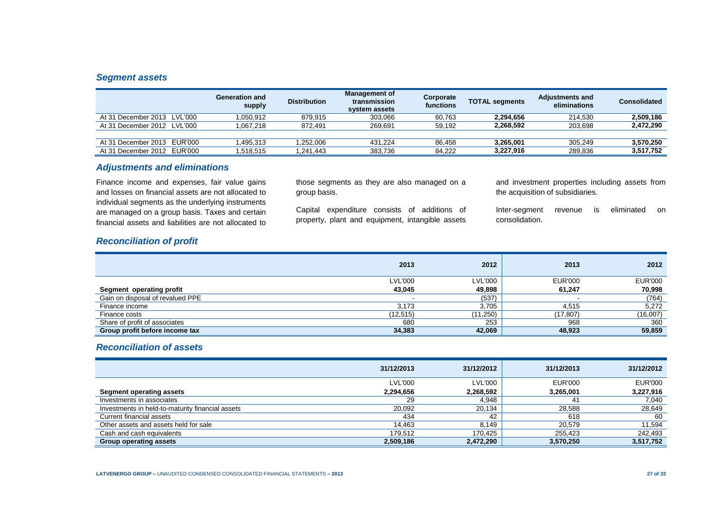#### *Segment assets*

|                             | <b>Generation and</b><br>supply | <b>Distribution</b> | <b>Management of</b><br>transmission<br>system assets | Corporate<br>functions | <b>TOTAL segments</b> | <b>Adjustments and</b><br>eliminations | <b>Consolidated</b> |
|-----------------------------|---------------------------------|---------------------|-------------------------------------------------------|------------------------|-----------------------|----------------------------------------|---------------------|
| At 31 December 2013 LVL'000 | 1.050.912                       | 879.915             | 303.066                                               | 60.763                 | 2.294.656             | 214.530                                | 2.509.186           |
| At 31 December 2012 LVL'000 | 1.067.218                       | 872.491             | 269.691                                               | 59.192                 | 2.268.592             | 203,698                                | 2,472,290           |
|                             |                                 |                     |                                                       |                        |                       |                                        |                     |
| At 31 December 2013 EUR'000 | 1.495.313                       | .252.006            | 431.224                                               | 86.458                 | 3.265.001             | 305.249                                | 3,570,250           |
| At 31 December 2012 EUR'000 | 1.518.515                       | .241.443            | 383.736                                               | 84.222                 | 3.227.916             | 289,836                                | 3,517,752           |

#### *Adjustments and eliminations*

Finance income and expenses, fair value gains and losses on financial assets are not allocated to individual segments as the underlying instruments are managed on a group basis. Taxes and certain financial assets and liabilities are not allocated to those segments as they are also managed on a group basis.

Capital expenditure consists of additions of property, plant and equipment, intangible assets and investment properties including assets from the acquisition of subsidiaries.

Inter-segment revenue is eliminated on consolidation.

#### *Reconciliation of profit*

|                                  | 2013           | 2012           | 2013      | 2012           |
|----------------------------------|----------------|----------------|-----------|----------------|
|                                  | <b>LVL'000</b> | <b>LVL'000</b> | EUR'000   | <b>EUR'000</b> |
| Segment operating profit         | 43,045         | 49.898         | 61.247    | 70,998         |
| Gain on disposal of revalued PPE |                | (537)          |           | (764)          |
| Finance income                   | 3,173          | 3,705          | 4,515     | 5,272          |
| Finance costs                    | (12,515)       | (11, 250)      | (17, 807) | (16,007)       |
| Share of profit of associates    | 680            | 253            | 968       | 360            |
| Group profit before income tax   | 34,383         | 42,069         | 48,923    | 59,859         |

### *Reconciliation of assets*

|                                                  | 31/12/2013     | 31/12/2012     | 31/12/2013     | 31/12/2012     |
|--------------------------------------------------|----------------|----------------|----------------|----------------|
|                                                  | <b>LVL'000</b> | <b>LVL'000</b> | <b>EUR'000</b> | <b>EUR'000</b> |
| Segment operating assets                         | 2,294,656      | 2,268,592      | 3,265,001      | 3,227,916      |
| Investments in associates                        | 29             | 4.948          | -41            | 7,040          |
| Investments in held-to-maturity financial assets | 20,092         | 20,134         | 28,588         | 28,649         |
| Current financial assets                         | 434            | 42             | 618            | 60             |
| Other assets and assets held for sale            | 14,463         | 8.149          | 20.579         | 11.594         |
| Cash and cash equivalents                        | 179.512        | 170.425        | 255,423        | 242,493        |
| <b>Group operating assets</b>                    | 2,509,186      | 2,472,290      | 3,570,250      | 3,517,752      |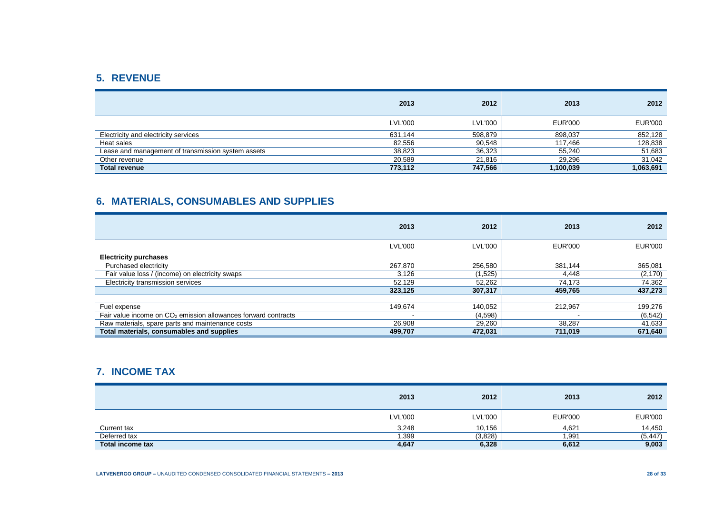# **5. REVENUE**

|                                                    | 2013           | 2012           | 2013      | 2012           |
|----------------------------------------------------|----------------|----------------|-----------|----------------|
|                                                    | <b>LVL'000</b> | <b>LVL'000</b> | EUR'000   | <b>EUR'000</b> |
| Electricity and electricity services               | 631,144        | 598,879        | 898,037   | 852,128        |
| Heat sales                                         | 82,556         | 90,548         | 117,466   | 128,838        |
| Lease and management of transmission system assets | 38,823         | 36,323         | 55,240    | 51,683         |
| Other revenue                                      | 20,589         | 21.816         | 29,296    | 31,042         |
| <b>Total revenue</b>                               | 773,112        | 747,566        | 1,100,039 | 1,063,691      |

# **6. MATERIALS, CONSUMABLES AND SUPPLIES**

|                                                                  | 2013           | 2012           | 2013           | 2012           |
|------------------------------------------------------------------|----------------|----------------|----------------|----------------|
|                                                                  | <b>LVL'000</b> | <b>LVL'000</b> | <b>EUR'000</b> | <b>EUR'000</b> |
| <b>Electricity purchases</b>                                     |                |                |                |                |
| Purchased electricity                                            | 267.870        | 256,580        | 381.144        | 365,081        |
| Fair value loss / (income) on electricity swaps                  | 3,126          | (1,525)        | 4,448          | (2, 170)       |
| Electricity transmission services                                | 52.129         | 52,262         | 74,173         | 74,362         |
|                                                                  | 323,125        | 307,317        | 459,765        | 437,273        |
|                                                                  |                |                |                |                |
| Fuel expense                                                     | 149,674        | 140,052        | 212.967        | 199,276        |
| Fair value income on $CO2$ emission allowances forward contracts |                | (4,598)        |                | (6, 542)       |
| Raw materials, spare parts and maintenance costs                 | 26,908         | 29,260         | 38,287         | 41,633         |
| Total materials, consumables and supplies                        | 499,707        | 472,031        | 711,019        | 671,640        |

# **7. INCOME TAX**

|                         | 2013           | 2012           | 2013           | 2012           |
|-------------------------|----------------|----------------|----------------|----------------|
|                         | <b>LVL'000</b> | <b>LVL'000</b> | <b>EUR'000</b> | <b>EUR'000</b> |
| Current tax             | 3,248          | 10,156         | 4,621          | 14,450         |
| Deferred tax            | 1,399          | (3,828)        | 1,991          | (5, 447)       |
| <b>Total income tax</b> | 4,647          | 6,328          | 6,612          | 9,003          |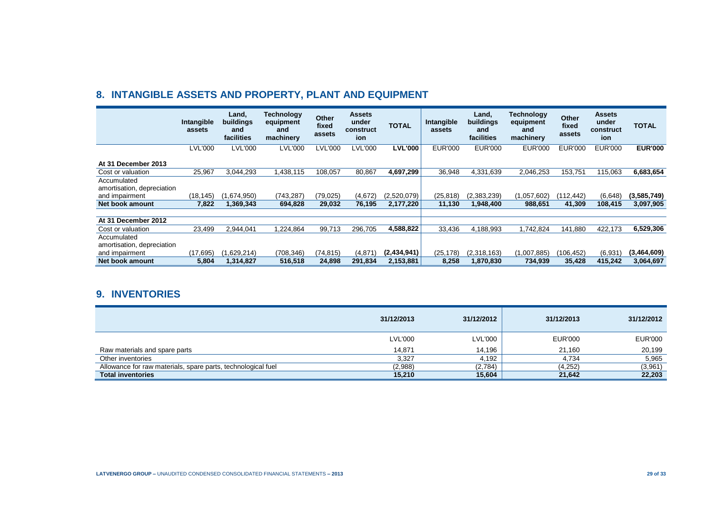# **8. INTANGIBLE ASSETS AND PROPERTY, PLANT AND EQUIPMENT**

|                                                             | Intangible<br>assets | Land,<br>buildings<br>and<br>facilities | <b>Technology</b><br>equipment<br>and<br>machinery | Other<br>fixed<br>assets | <b>Assets</b><br>under<br>construct<br>ion | <b>TOTAL</b>   | Intangible<br>assets | Land,<br><b>buildings</b><br>and<br>facilities | <b>Technology</b><br>equipment<br>and<br>machinery | Other<br>fixed<br>assets | <b>Assets</b><br>under<br>construct<br>ion | TOTAL          |
|-------------------------------------------------------------|----------------------|-----------------------------------------|----------------------------------------------------|--------------------------|--------------------------------------------|----------------|----------------------|------------------------------------------------|----------------------------------------------------|--------------------------|--------------------------------------------|----------------|
|                                                             | <b>LVL'000</b>       | <b>LVL'000</b>                          | <b>LVL'000</b>                                     | LVL'000                  | LVL'000                                    | <b>LVL'000</b> | <b>EUR'000</b>       | <b>EUR'000</b>                                 | <b>EUR'000</b>                                     | <b>EUR'000</b>           | <b>EUR'000</b>                             | <b>EUR'000</b> |
| At 31 December 2013                                         |                      |                                         |                                                    |                          |                                            |                |                      |                                                |                                                    |                          |                                            |                |
| Cost or valuation                                           | 25,967               | 3,044,293                               | 1,438,115                                          | 108,057                  | 80,867                                     | 4,697,299      | 36,948               | 4,331,639                                      | 2,046,253                                          | 153,751                  | 115,063                                    | 6,683,654      |
| Accumulated<br>amortisation, depreciation<br>and impairment | (18,145)             | (1,674,950)                             | (743,287)                                          | (79,025)                 | (4,672)                                    | (2,520,079)    | (25, 818)            | (2,383,239)                                    | (1,057,602)                                        | (112.442)                | (6,648)                                    | (3,585,749)    |
| Net book amount                                             | 7,822                | 1,369,343                               | 694,828                                            | 29,032                   | 76,195                                     | 2,177,220      | 11,130               | 1,948,400                                      | 988,651                                            | 41,309                   | 108,415                                    | 3,097,905      |
|                                                             |                      |                                         |                                                    |                          |                                            |                |                      |                                                |                                                    |                          |                                            |                |
| At 31 December 2012                                         |                      |                                         |                                                    |                          |                                            |                |                      |                                                |                                                    |                          |                                            |                |
| Cost or valuation                                           | 23,499               | 2,944,041                               | 1,224,864                                          | 99,713                   | 296,705                                    | 4,588,822      | 33,436               | 4,188,993                                      | 1,742,824                                          | 141,880                  | 422,173                                    | 6,529,306      |
| Accumulated<br>amortisation, depreciation                   |                      |                                         |                                                    |                          |                                            |                |                      |                                                |                                                    |                          |                                            |                |
| and impairment                                              | (17.695)             | (1,629,214)                             | (708,346)                                          | (74.815)                 | (4, 871)                                   | (2.434.941)    | (25, 178)            | (2,318,163)                                    | (1,007,885)                                        | (106, 452)               | (6.931)                                    | (3,464,609)    |
| Net book amount                                             | 5,804                | 1,314,827                               | 516,518                                            | 24,898                   | 291,834                                    | 2,153,881      | 8,258                | 1,870,830                                      | 734,939                                            | 35,428                   | 415,242                                    | 3,064,697      |

## **9. INVENTORIES**

|                                                              | 31/12/2013 | 31/12/2012 | 31/12/2013     | 31/12/2012     |
|--------------------------------------------------------------|------------|------------|----------------|----------------|
|                                                              | LVL'000    | LVL'000    | <b>EUR'000</b> | <b>EUR'000</b> |
| Raw materials and spare parts                                | 14,871     | 14.196     | 21.160         | 20,199         |
| Other inventories                                            | 3,327      | 4.192      | 4,734          | 5,965          |
| Allowance for raw materials, spare parts, technological fuel | (2,988)    | (2,784)    | (4,252)        | (3,961)        |
| <b>Total inventories</b>                                     | 15,210     | 15,604     | 21,642         | 22,203         |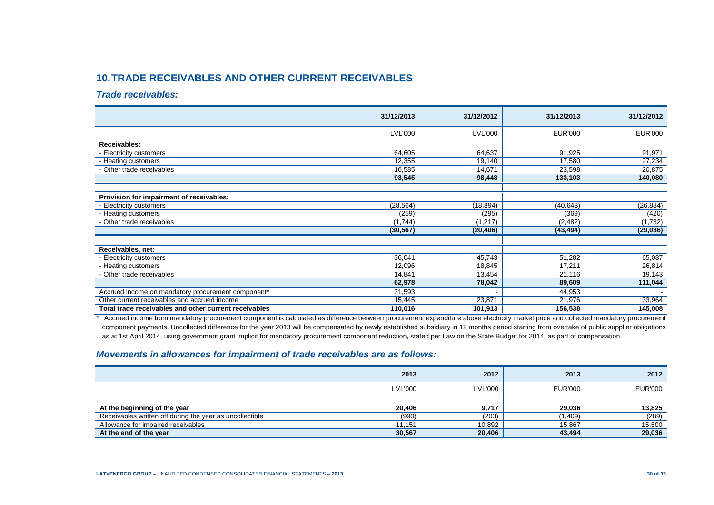# **10.TRADE RECEIVABLES AND OTHER CURRENT RECEIVABLES**

#### *Trade receivables:*

|                                                       | 31/12/2013     | 31/12/2012     | 31/12/2013     | 31/12/2012     |
|-------------------------------------------------------|----------------|----------------|----------------|----------------|
|                                                       | <b>LVL'000</b> | <b>LVL'000</b> | <b>EUR'000</b> | <b>EUR'000</b> |
| Receivables:                                          |                |                |                |                |
| - Electricity customers                               | 64,605         | 64,637         | 91,925         | 91,971         |
| - Heating customers                                   | 12,355         | 19,140         | 17,580         | 27,234         |
| - Other trade receivables                             | 16,585         | 14,671         | 23,598         | 20,875         |
|                                                       | 93,545         | 98,448         | 133,103        | 140,080        |
|                                                       |                |                |                |                |
| Provision for impairment of receivables:              |                |                |                |                |
| - Electricity customers                               | (28, 564)      | (18, 894)      | (40, 643)      | (26, 884)      |
| - Heating customers                                   | (259)          | (295)          | (369)          | (420)          |
| - Other trade receivables                             | (1,744)        | (1, 217)       | (2, 482)       | (1,732)        |
|                                                       | (30, 567)      | (20, 406)      | (43, 494)      | (29, 036)      |
|                                                       |                |                |                |                |
| Receivables, net:                                     |                |                |                |                |
| - Electricity customers                               | 36,041         | 45,743         | 51,282         | 65,087         |
| - Heating customers                                   | 12,096         | 18,845         | 17,211         | 26,814         |
| - Other trade receivables                             | 14,841         | 13,454         | 21,116         | 19,143         |
|                                                       | 62,978         | 78,042         | 89,609         | 111,044        |
| Accrued income on mandatory procurement component*    | 31,593         |                | 44,953         |                |
| Other current receivables and accrued income          | 15,445         | 23,871         | 21,976         | 33,964         |
| Total trade receivables and other current receivables | 110,016        | 101,913        | 156,538        | 145,008        |

\* Accrued income from mandatory procurement component is calculated as difference between procurement expenditure above electricity market price and collected mandatory procurement component payments. Uncollected difference for the year 2013 will be compensated by newly established subsidiary in 12 months period starting from overtake of public supplier obligations as at 1st April 2014, using government grant implicit for mandatory procurement component reduction, stated per Law on the State Budget for 2014, as part of compensation.

### *Movements in allowances for impairment of trade receivables are as follows:*

|                                                          | 2013           | 2012           | 2013           | 2012           |
|----------------------------------------------------------|----------------|----------------|----------------|----------------|
|                                                          | <b>LVL'000</b> | <b>LVL'000</b> | <b>EUR'000</b> | <b>EUR'000</b> |
| At the beginning of the year                             | 20.406         | 9,717          | 29.036         | 13,825         |
| Receivables written off during the year as uncollectible | (990)          | (203)          | (1,409)        | (289)          |
| Allowance for impaired receivables                       | 11.151         | 10,892         | 15.867         | 15,500         |
| At the end of the year                                   | 30,567         | 20,406         | 43,494         | 29,036         |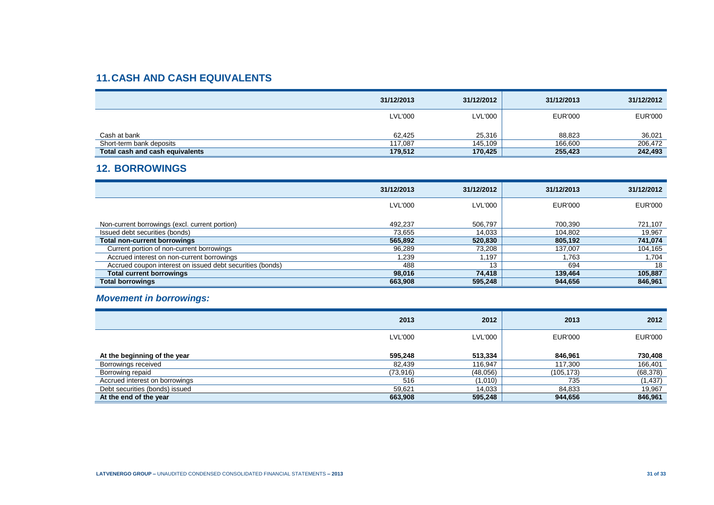# **11.CASH AND CASH EQUIVALENTS**

|                                 | 31/12/2013     | 31/12/2012     | 31/12/2013 | 31/12/2012     |
|---------------------------------|----------------|----------------|------------|----------------|
|                                 | <b>LVL'000</b> | <b>LVL'000</b> | EUR'000    | <b>EUR'000</b> |
| Cash at bank                    | 62.425         | 25,316         | 88.823     | 36,021         |
| Short-term bank deposits        | 117.087        | 145.109        | 166.600    | 206,472        |
| Total cash and cash equivalents | 179,512        | 170,425        | 255.423    | 242,493        |

## **12. BORROWINGS**

|                                                           | 31/12/2013 | 31/12/2012     | 31/12/2013     | 31/12/2012     |
|-----------------------------------------------------------|------------|----------------|----------------|----------------|
|                                                           | LVL'000    | <b>LVL'000</b> | <b>EUR'000</b> | <b>EUR'000</b> |
|                                                           |            |                |                |                |
| Non-current borrowings (excl. current portion)            | 492.237    | 506,797        | 700,390        | 721,107        |
| Issued debt securities (bonds)                            | 73,655     | 14.033         | 104,802        | 19,967         |
| <b>Total non-current borrowings</b>                       | 565,892    | 520,830        | 805,192        | 741,074        |
| Current portion of non-current borrowings                 | 96,289     | 73,208         | 137.007        | 104,165        |
| Accrued interest on non-current borrowings                | 1,239      | l.197          | 1.763          | 1,704          |
| Accrued coupon interest on issued debt securities (bonds) | 488        | 13             | 694            | 18             |
| <b>Total current borrowings</b>                           | 98.016     | 74.418         | 139,464        | 105,887        |
| <b>Total borrowings</b>                                   | 663,908    | 595,248        | 944,656        | 846,961        |

## *Movement in borrowings:*

|                                | 2013           | 2012           | 2013           | 2012           |
|--------------------------------|----------------|----------------|----------------|----------------|
|                                | <b>LVL'000</b> | <b>LVL'000</b> | <b>EUR'000</b> | <b>EUR'000</b> |
| At the beginning of the year   | 595,248        | 513,334        | 846.961        | 730,408        |
| Borrowings received            | 82.439         | 116,947        | 117,300        | 166,401        |
| Borrowing repaid               | (73,916)       | (48,056)       | (105, 173)     | (68, 378)      |
| Accrued interest on borrowings | 516            | (1,010)        | 735            | (1, 437)       |
| Debt securities (bonds) issued | 59,621         | 14,033         | 84,833         | 19,967         |
| At the end of the year         | 663,908        | 595,248        | 944,656        | 846,961        |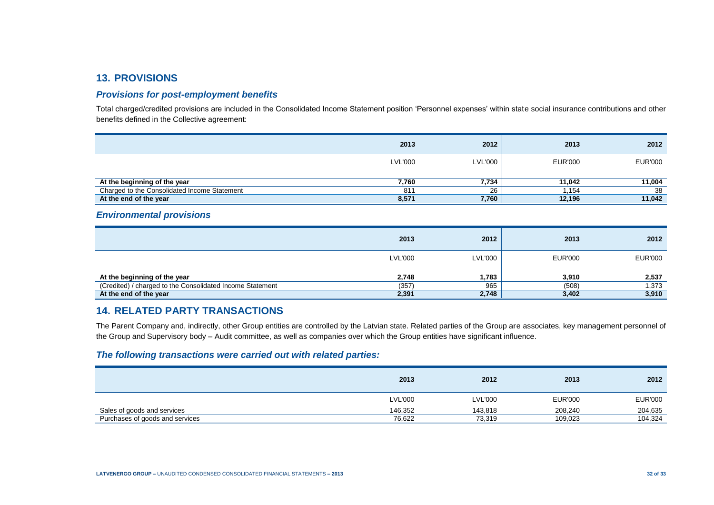## **13. PROVISIONS**

#### *Provisions for post-employment benefits*

Total charged/credited provisions are included in the Consolidated Income Statement position 'Personnel expenses' within state social insurance contributions and other benefits defined in the Collective agreement:

|                                              | 2013           | 2012    | 2013    | 2012           |
|----------------------------------------------|----------------|---------|---------|----------------|
|                                              | <b>LVL'000</b> | LVL'000 | EUR'000 | <b>EUR'000</b> |
| At the beginning of the year                 | 7,760          | 7,734   | 11.042  | 11,004         |
| Charged to the Consolidated Income Statement | 811            | 26      | .154    | 38             |
| At the end of the year                       | 8,571          | 7,760   | 12,196  | 11,042         |

#### *Environmental provisions*

|                                                           | 2013           | 2012           | 2013           | 2012           |
|-----------------------------------------------------------|----------------|----------------|----------------|----------------|
|                                                           | <b>LVL'000</b> | <b>LVL'000</b> | <b>EUR'000</b> | <b>EUR'000</b> |
| At the beginning of the year                              | 2,748          | 1,783          | 3,910          | 2,537          |
| (Credited) / charged to the Consolidated Income Statement | (357)          | 965            | (508)          | 1,373          |
| At the end of the year                                    | 2,391          | 2,748          | 3,402          | 3,910          |

### **14. RELATED PARTY TRANSACTIONS**

The Parent Company and, indirectly, other Group entities are controlled by the Latvian state. Related parties of the Group are associates, key management personnel of the Group and Supervisory body – Audit committee, as well as companies over which the Group entities have significant influence.

### *The following transactions were carried out with related parties:*

|                                 | 2013           | 2012           | 2013    | 2012           |
|---------------------------------|----------------|----------------|---------|----------------|
|                                 | <b>LVL'000</b> | <b>LVL'000</b> | EUR'000 | <b>EUR'000</b> |
| Sales of goods and services     | 146.352        | 143.818        | 208.240 | 204,635        |
| Purchases of goods and services | 76,622         | 73,319         | 109,023 | 104,324        |